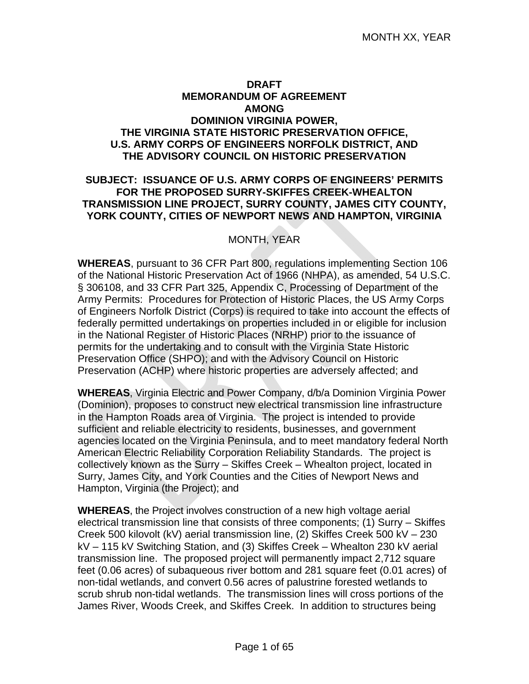#### **DRAFT MEMORANDUM OF AGREEMENT AMONG DOMINION VIRGINIA POWER, THE VIRGINIA STATE HISTORIC PRESERVATION OFFICE, U.S. ARMY CORPS OF ENGINEERS NORFOLK DISTRICT, AND THE ADVISORY COUNCIL ON HISTORIC PRESERVATION**

#### **SUBJECT: ISSUANCE OF U.S. ARMY CORPS OF ENGINEERS' PERMITS FOR THE PROPOSED SURRY-SKIFFES CREEK-WHEALTON TRANSMISSION LINE PROJECT, SURRY COUNTY, JAMES CITY COUNTY, YORK COUNTY, CITIES OF NEWPORT NEWS AND HAMPTON, VIRGINIA**

#### MONTH, YEAR

**WHEREAS**, pursuant to 36 CFR Part 800, regulations implementing Section 106 of the National Historic Preservation Act of 1966 (NHPA), as amended, 54 U.S.C. § 306108, and 33 CFR Part 325, Appendix C, Processing of Department of the Army Permits: Procedures for Protection of Historic Places, the US Army Corps of Engineers Norfolk District (Corps) is required to take into account the effects of federally permitted undertakings on properties included in or eligible for inclusion in the National Register of Historic Places (NRHP) prior to the issuance of permits for the undertaking and to consult with the Virginia State Historic Preservation Office (SHPO); and with the Advisory Council on Historic Preservation (ACHP) where historic properties are adversely affected; and

**WHEREAS**, Virginia Electric and Power Company, d/b/a Dominion Virginia Power (Dominion), proposes to construct new electrical transmission line infrastructure in the Hampton Roads area of Virginia. The project is intended to provide sufficient and reliable electricity to residents, businesses, and government agencies located on the Virginia Peninsula, and to meet mandatory federal North American Electric Reliability Corporation Reliability Standards. The project is collectively known as the Surry – Skiffes Creek – Whealton project, located in Surry, James City, and York Counties and the Cities of Newport News and Hampton, Virginia (the Project); and

**WHEREAS**, the Project involves construction of a new high voltage aerial electrical transmission line that consists of three components; (1) Surry – Skiffes Creek 500 kilovolt (kV) aerial transmission line, (2) Skiffes Creek 500 kV – 230 kV – 115 kV Switching Station, and (3) Skiffes Creek – Whealton 230 kV aerial transmission line. The proposed project will permanently impact 2,712 square feet (0.06 acres) of subaqueous river bottom and 281 square feet (0.01 acres) of non-tidal wetlands, and convert 0.56 acres of palustrine forested wetlands to scrub shrub non-tidal wetlands. The transmission lines will cross portions of the James River, Woods Creek, and Skiffes Creek. In addition to structures being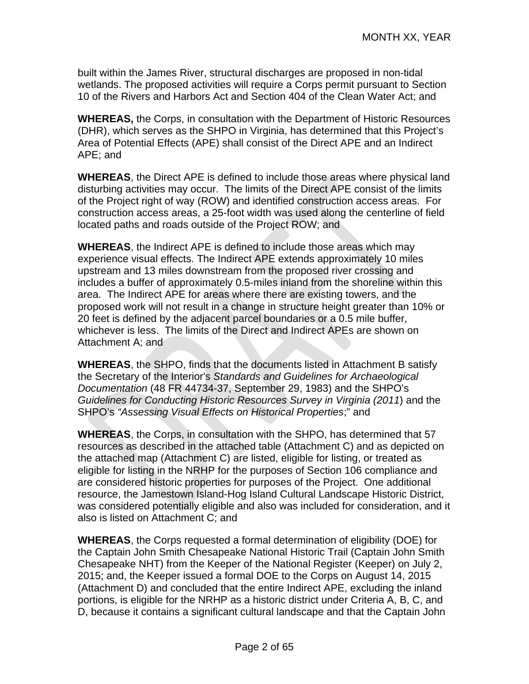built within the James River, structural discharges are proposed in non-tidal wetlands. The proposed activities will require a Corps permit pursuant to Section 10 of the Rivers and Harbors Act and Section 404 of the Clean Water Act; and

**WHEREAS,** the Corps, in consultation with the Department of Historic Resources (DHR), which serves as the SHPO in Virginia, has determined that this Project's Area of Potential Effects (APE) shall consist of the Direct APE and an Indirect APE; and

**WHEREAS**, the Direct APE is defined to include those areas where physical land disturbing activities may occur. The limits of the Direct APE consist of the limits of the Project right of way (ROW) and identified construction access areas. For construction access areas, a 25-foot width was used along the centerline of field located paths and roads outside of the Project ROW; and

**WHEREAS**, the Indirect APE is defined to include those areas which may experience visual effects. The Indirect APE extends approximately 10 miles upstream and 13 miles downstream from the proposed river crossing and includes a buffer of approximately 0.5-miles inland from the shoreline within this area. The Indirect APE for areas where there are existing towers, and the proposed work will not result in a change in structure height greater than 10% or 20 feet is defined by the adjacent parcel boundaries or a 0.5 mile buffer, whichever is less. The limits of the Direct and Indirect APEs are shown on Attachment A; and

**WHEREAS**, the SHPO, finds that the documents listed in Attachment B satisfy the Secretary of the Interior's *Standards and Guidelines for Archaeological Documentation* (48 FR 44734-37, September 29, 1983) and the SHPO's *Guidelines for Conducting Historic Resources Survey in Virginia (2011*) and the SHPO's *"Assessing Visual Effects on Historical Properties*;" and

**WHEREAS**, the Corps, in consultation with the SHPO, has determined that 57 resources as described in the attached table (Attachment C) and as depicted on the attached map (Attachment C) are listed, eligible for listing, or treated as eligible for listing in the NRHP for the purposes of Section 106 compliance and are considered historic properties for purposes of the Project. One additional resource, the Jamestown Island-Hog Island Cultural Landscape Historic District, was considered potentially eligible and also was included for consideration, and it also is listed on Attachment C; and

**WHEREAS**, the Corps requested a formal determination of eligibility (DOE) for the Captain John Smith Chesapeake National Historic Trail (Captain John Smith Chesapeake NHT) from the Keeper of the National Register (Keeper) on July 2, 2015; and, the Keeper issued a formal DOE to the Corps on August 14, 2015 (Attachment D) and concluded that the entire Indirect APE, excluding the inland portions, is eligible for the NRHP as a historic district under Criteria A, B, C, and D, because it contains a significant cultural landscape and that the Captain John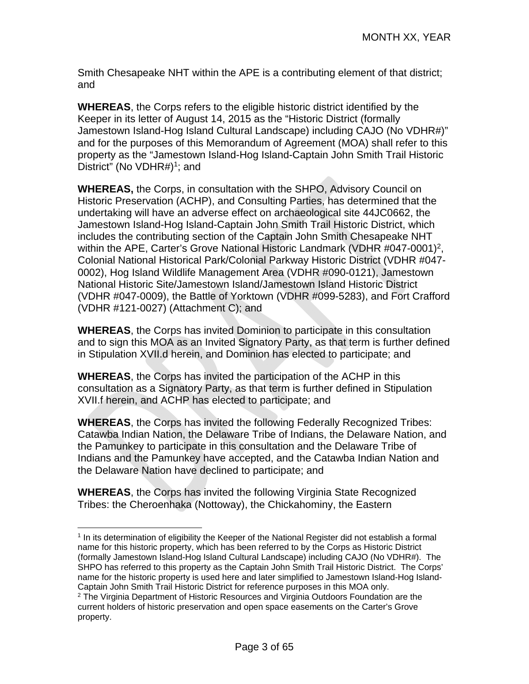Smith Chesapeake NHT within the APE is a contributing element of that district; and

**WHEREAS**, the Corps refers to the eligible historic district identified by the Keeper in its letter of August 14, 2015 as the "Historic District (formally Jamestown Island-Hog Island Cultural Landscape) including CAJO (No VDHR#)" and for the purposes of this Memorandum of Agreement (MOA) shall refer to this property as the "Jamestown Island-Hog Island-Captain John Smith Trail Historic District" (No VDHR#)<sup>1</sup>; and

**WHEREAS,** the Corps, in consultation with the SHPO, Advisory Council on Historic Preservation (ACHP), and Consulting Parties, has determined that the undertaking will have an adverse effect on archaeological site 44JC0662, the Jamestown Island-Hog Island-Captain John Smith Trail Historic District, which includes the contributing section of the Captain John Smith Chesapeake NHT within the APE, Carter's Grove National Historic Landmark (VDHR #047-0001)<sup>2</sup>, Colonial National Historical Park/Colonial Parkway Historic District (VDHR #047- 0002), Hog Island Wildlife Management Area (VDHR #090-0121), Jamestown National Historic Site/Jamestown Island/Jamestown Island Historic District (VDHR #047-0009), the Battle of Yorktown (VDHR #099-5283), and Fort Crafford (VDHR #121-0027) (Attachment C); and

**WHEREAS**, the Corps has invited Dominion to participate in this consultation and to sign this MOA as an Invited Signatory Party, as that term is further defined in Stipulation XVII.d herein, and Dominion has elected to participate; and

**WHEREAS**, the Corps has invited the participation of the ACHP in this consultation as a Signatory Party, as that term is further defined in Stipulation XVII.f herein, and ACHP has elected to participate; and

**WHEREAS**, the Corps has invited the following Federally Recognized Tribes: Catawba Indian Nation, the Delaware Tribe of Indians, the Delaware Nation, and the Pamunkey to participate in this consultation and the Delaware Tribe of Indians and the Pamunkey have accepted, and the Catawba Indian Nation and the Delaware Nation have declined to participate; and

**WHEREAS**, the Corps has invited the following Virginia State Recognized Tribes: the Cheroenhaka (Nottoway), the Chickahominy, the Eastern

<sup>1</sup>  $1$  In its determination of eligibility the Keeper of the National Register did not establish a formal name for this historic property, which has been referred to by the Corps as Historic District (formally Jamestown Island-Hog Island Cultural Landscape) including CAJO (No VDHR#). The SHPO has referred to this property as the Captain John Smith Trail Historic District. The Corps' name for the historic property is used here and later simplified to Jamestown Island-Hog Island-Captain John Smith Trail Historic District for reference purposes in this MOA only.

 $2$  The Virginia Department of Historic Resources and Virginia Outdoors Foundation are the current holders of historic preservation and open space easements on the Carter's Grove property.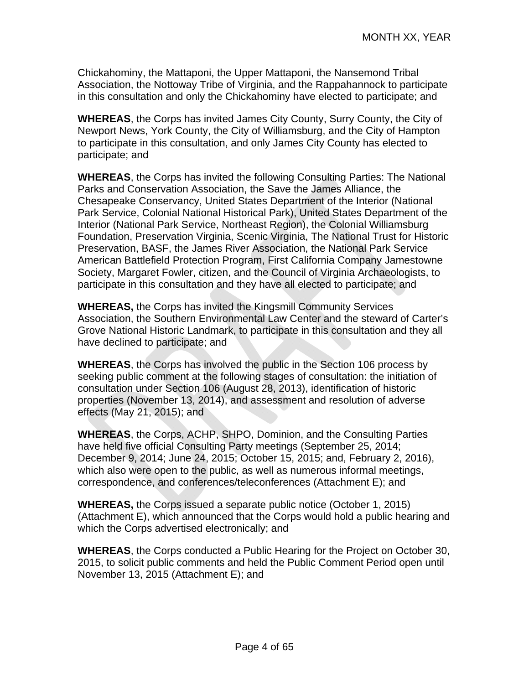Chickahominy, the Mattaponi, the Upper Mattaponi, the Nansemond Tribal Association, the Nottoway Tribe of Virginia, and the Rappahannock to participate in this consultation and only the Chickahominy have elected to participate; and

**WHEREAS**, the Corps has invited James City County, Surry County, the City of Newport News, York County, the City of Williamsburg, and the City of Hampton to participate in this consultation, and only James City County has elected to participate; and

**WHEREAS**, the Corps has invited the following Consulting Parties: The National Parks and Conservation Association, the Save the James Alliance, the Chesapeake Conservancy, United States Department of the Interior (National Park Service, Colonial National Historical Park), United States Department of the Interior (National Park Service, Northeast Region), the Colonial Williamsburg Foundation, Preservation Virginia, Scenic Virginia, The National Trust for Historic Preservation, BASF, the James River Association, the National Park Service American Battlefield Protection Program, First California Company Jamestowne Society, Margaret Fowler, citizen, and the Council of Virginia Archaeologists, to participate in this consultation and they have all elected to participate; and

**WHEREAS,** the Corps has invited the Kingsmill Community Services Association, the Southern Environmental Law Center and the steward of Carter's Grove National Historic Landmark, to participate in this consultation and they all have declined to participate; and

**WHEREAS**, the Corps has involved the public in the Section 106 process by seeking public comment at the following stages of consultation: the initiation of consultation under Section 106 (August 28, 2013), identification of historic properties (November 13, 2014), and assessment and resolution of adverse effects (May 21, 2015); and

**WHEREAS**, the Corps, ACHP, SHPO, Dominion, and the Consulting Parties have held five official Consulting Party meetings (September 25, 2014; December 9, 2014; June 24, 2015; October 15, 2015; and, February 2, 2016), which also were open to the public, as well as numerous informal meetings, correspondence, and conferences/teleconferences (Attachment E); and

**WHEREAS,** the Corps issued a separate public notice (October 1, 2015) (Attachment E), which announced that the Corps would hold a public hearing and which the Corps advertised electronically; and

**WHEREAS**, the Corps conducted a Public Hearing for the Project on October 30, 2015, to solicit public comments and held the Public Comment Period open until November 13, 2015 (Attachment E); and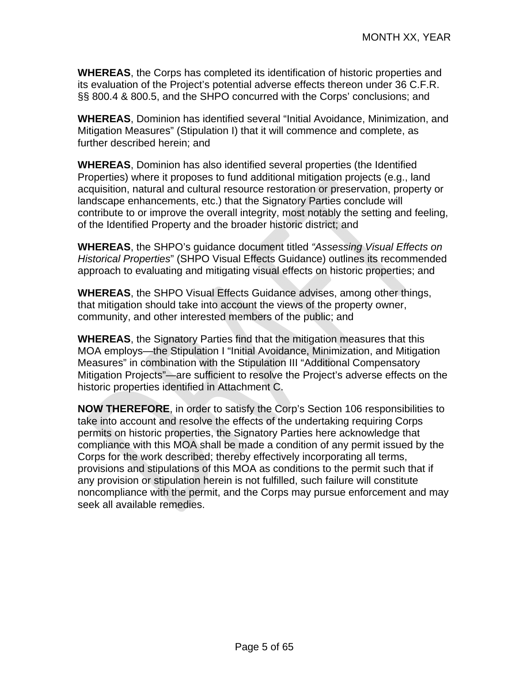**WHEREAS**, the Corps has completed its identification of historic properties and its evaluation of the Project's potential adverse effects thereon under 36 C.F.R. §§ 800.4 & 800.5, and the SHPO concurred with the Corps' conclusions; and

**WHEREAS**, Dominion has identified several "Initial Avoidance, Minimization, and Mitigation Measures" (Stipulation I) that it will commence and complete, as further described herein; and

**WHEREAS**, Dominion has also identified several properties (the Identified Properties) where it proposes to fund additional mitigation projects (e.g., land acquisition, natural and cultural resource restoration or preservation, property or landscape enhancements, etc.) that the Signatory Parties conclude will contribute to or improve the overall integrity, most notably the setting and feeling, of the Identified Property and the broader historic district; and

**WHEREAS**, the SHPO's guidance document titled *"Assessing Visual Effects on Historical Properties*" (SHPO Visual Effects Guidance) outlines its recommended approach to evaluating and mitigating visual effects on historic properties; and

**WHEREAS**, the SHPO Visual Effects Guidance advises, among other things, that mitigation should take into account the views of the property owner, community, and other interested members of the public; and

**WHEREAS**, the Signatory Parties find that the mitigation measures that this MOA employs—the Stipulation I "Initial Avoidance, Minimization, and Mitigation Measures" in combination with the Stipulation III "Additional Compensatory Mitigation Projects"—are sufficient to resolve the Project's adverse effects on the historic properties identified in Attachment C.

**NOW THEREFORE**, in order to satisfy the Corp's Section 106 responsibilities to take into account and resolve the effects of the undertaking requiring Corps permits on historic properties, the Signatory Parties here acknowledge that compliance with this MOA shall be made a condition of any permit issued by the Corps for the work described; thereby effectively incorporating all terms, provisions and stipulations of this MOA as conditions to the permit such that if any provision or stipulation herein is not fulfilled, such failure will constitute noncompliance with the permit, and the Corps may pursue enforcement and may seek all available remedies.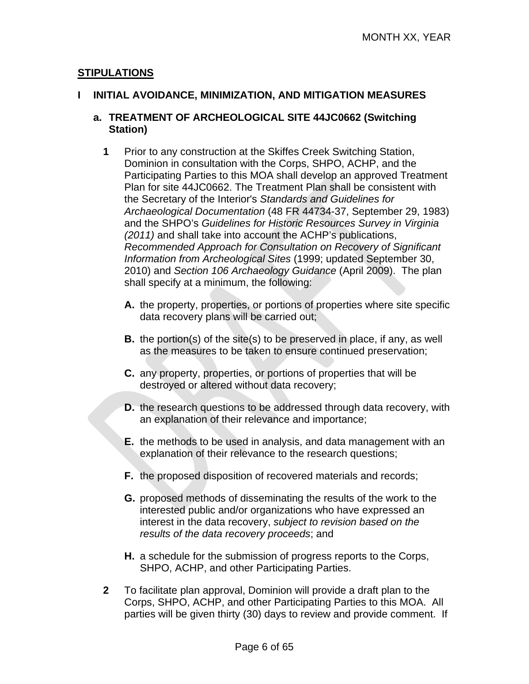#### **STIPULATIONS**

#### **I INITIAL AVOIDANCE, MINIMIZATION, AND MITIGATION MEASURES**

#### **a. TREATMENT OF ARCHEOLOGICAL SITE 44JC0662 (Switching Station)**

- **1** Prior to any construction at the Skiffes Creek Switching Station, Dominion in consultation with the Corps, SHPO, ACHP, and the Participating Parties to this MOA shall develop an approved Treatment Plan for site 44JC0662. The Treatment Plan shall be consistent with the Secretary of the Interior's *Standards and Guidelines for Archaeological Documentation* (48 FR 44734-37, September 29, 1983) and the SHPO's *Guidelines for Historic Resources Survey in Virginia (2011)* and shall take into account the ACHP's publications, *Recommended Approach for Consultation on Recovery of Significant Information from Archeological Sites* (1999; updated September 30, 2010) and *Section 106 Archaeology Guidance* (April 2009).The plan shall specify at a minimum, the following:
	- **A.** the property, properties, or portions of properties where site specific data recovery plans will be carried out;
	- **B.** the portion(s) of the site(s) to be preserved in place, if any, as well as the measures to be taken to ensure continued preservation;
	- **C.** any property, properties, or portions of properties that will be destroyed or altered without data recovery;
	- **D.** the research questions to be addressed through data recovery, with an explanation of their relevance and importance;
	- **E.** the methods to be used in analysis, and data management with an explanation of their relevance to the research questions;
	- **F.** the proposed disposition of recovered materials and records;
	- **G.** proposed methods of disseminating the results of the work to the interested public and/or organizations who have expressed an interest in the data recovery, *subject to revision based on the results of the data recovery proceeds*; and
	- **H.** a schedule for the submission of progress reports to the Corps, SHPO, ACHP, and other Participating Parties.
- **2** To facilitate plan approval, Dominion will provide a draft plan to the Corps, SHPO, ACHP, and other Participating Parties to this MOA. All parties will be given thirty (30) days to review and provide comment. If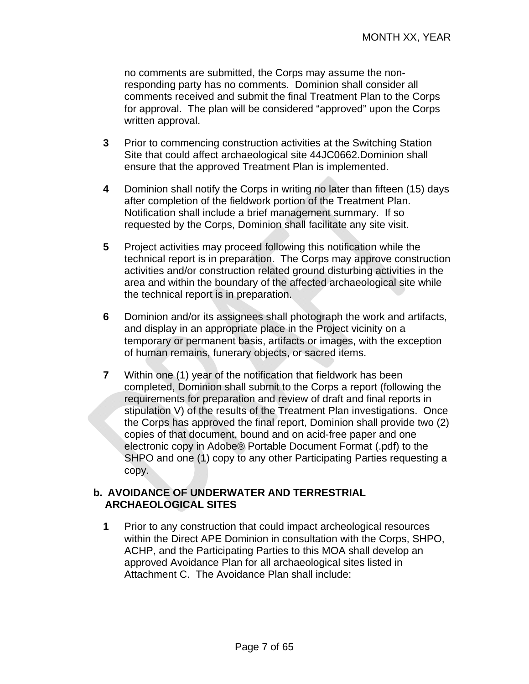no comments are submitted, the Corps may assume the nonresponding party has no comments. Dominion shall consider all comments received and submit the final Treatment Plan to the Corps for approval. The plan will be considered "approved" upon the Corps written approval.

- **3** Prior to commencing construction activities at the Switching Station Site that could affect archaeological site 44JC0662.Dominion shall ensure that the approved Treatment Plan is implemented.
- **4** Dominion shall notify the Corps in writing no later than fifteen (15) days after completion of the fieldwork portion of the Treatment Plan. Notification shall include a brief management summary. If so requested by the Corps, Dominion shall facilitate any site visit.
- **5** Project activities may proceed following this notification while the technical report is in preparation. The Corps may approve construction activities and/or construction related ground disturbing activities in the area and within the boundary of the affected archaeological site while the technical report is in preparation.
- **6** Dominion and/or its assignees shall photograph the work and artifacts, and display in an appropriate place in the Project vicinity on a temporary or permanent basis, artifacts or images, with the exception of human remains, funerary objects, or sacred items.
- **7** Within one (1) year of the notification that fieldwork has been completed, Dominion shall submit to the Corps a report (following the requirements for preparation and review of draft and final reports in stipulation V) of the results of the Treatment Plan investigations. Once the Corps has approved the final report, Dominion shall provide two (2) copies of that document, bound and on acid-free paper and one electronic copy in Adobe® Portable Document Format (.pdf) to the SHPO and one (1) copy to any other Participating Parties requesting a copy.

#### **b. AVOIDANCE OF UNDERWATER AND TERRESTRIAL ARCHAEOLOGICAL SITES**

**1** Prior to any construction that could impact archeological resources within the Direct APE Dominion in consultation with the Corps, SHPO, ACHP, and the Participating Parties to this MOA shall develop an approved Avoidance Plan for all archaeological sites listed in Attachment C. The Avoidance Plan shall include: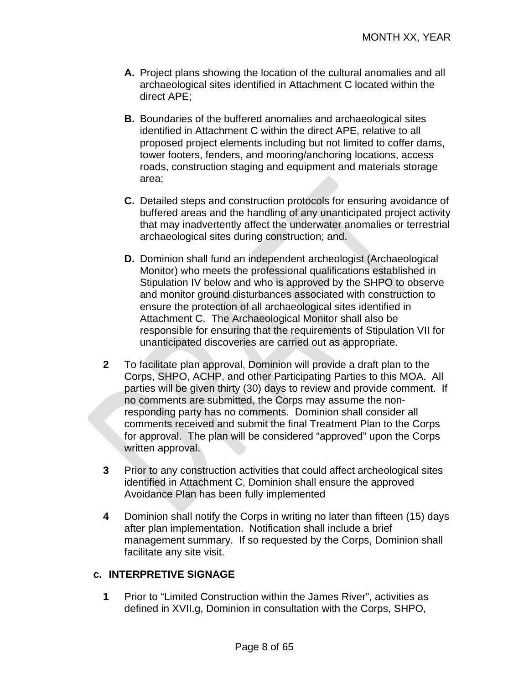- **A.** Project plans showing the location of the cultural anomalies and all archaeological sites identified in Attachment C located within the direct APE;
- **B.** Boundaries of the buffered anomalies and archaeological sites identified in Attachment C within the direct APE, relative to all proposed project elements including but not limited to coffer dams, tower footers, fenders, and mooring/anchoring locations, access roads, construction staging and equipment and materials storage area;
- **C.** Detailed steps and construction protocols for ensuring avoidance of buffered areas and the handling of any unanticipated project activity that may inadvertently affect the underwater anomalies or terrestrial archaeological sites during construction; and.
- **D.** Dominion shall fund an independent archeologist (Archaeological Monitor) who meets the professional qualifications established in Stipulation IV below and who is approved by the SHPO to observe and monitor ground disturbances associated with construction to ensure the protection of all archaeological sites identified in Attachment C. The Archaeological Monitor shall also be responsible for ensuring that the requirements of Stipulation VII for unanticipated discoveries are carried out as appropriate.
- **2** To facilitate plan approval, Dominion will provide a draft plan to the Corps, SHPO, ACHP, and other Participating Parties to this MOA. All parties will be given thirty (30) days to review and provide comment. If no comments are submitted, the Corps may assume the nonresponding party has no comments. Dominion shall consider all comments received and submit the final Treatment Plan to the Corps for approval. The plan will be considered "approved" upon the Corps written approval.
- **3** Prior to any construction activities that could affect archeological sites identified in Attachment C, Dominion shall ensure the approved Avoidance Plan has been fully implemented
- **4** Dominion shall notify the Corps in writing no later than fifteen (15) days after plan implementation. Notification shall include a brief management summary. If so requested by the Corps, Dominion shall facilitate any site visit.

#### **c. INTERPRETIVE SIGNAGE**

**1** Prior to "Limited Construction within the James River", activities as defined in XVII.g, Dominion in consultation with the Corps, SHPO,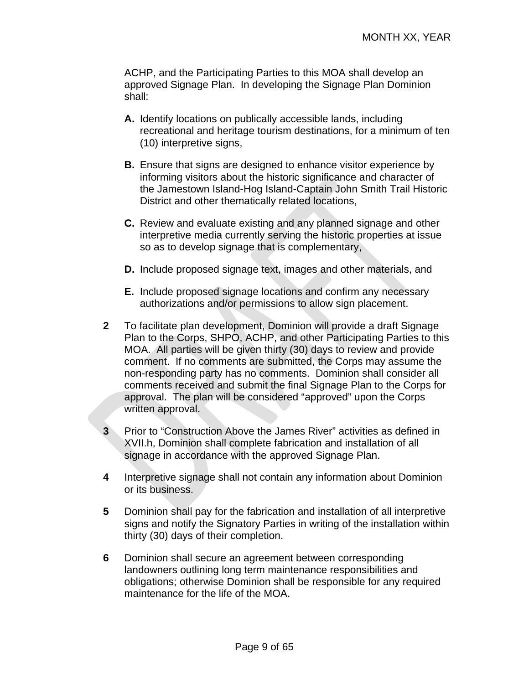ACHP, and the Participating Parties to this MOA shall develop an approved Signage Plan. In developing the Signage Plan Dominion shall:

- **A.** Identify locations on publically accessible lands, including recreational and heritage tourism destinations, for a minimum of ten (10) interpretive signs,
- **B.** Ensure that signs are designed to enhance visitor experience by informing visitors about the historic significance and character of the Jamestown Island-Hog Island-Captain John Smith Trail Historic District and other thematically related locations,
- **C.** Review and evaluate existing and any planned signage and other interpretive media currently serving the historic properties at issue so as to develop signage that is complementary,
- **D.** Include proposed signage text, images and other materials, and
- **E.** Include proposed signage locations and confirm any necessary authorizations and/or permissions to allow sign placement.
- **2** To facilitate plan development, Dominion will provide a draft Signage Plan to the Corps, SHPO, ACHP, and other Participating Parties to this MOA. All parties will be given thirty (30) days to review and provide comment. If no comments are submitted, the Corps may assume the non-responding party has no comments. Dominion shall consider all comments received and submit the final Signage Plan to the Corps for approval. The plan will be considered "approved" upon the Corps written approval.
- **3** Prior to "Construction Above the James River" activities as defined in XVII.h, Dominion shall complete fabrication and installation of all signage in accordance with the approved Signage Plan.
- **4** Interpretive signage shall not contain any information about Dominion or its business.
- **5** Dominion shall pay for the fabrication and installation of all interpretive signs and notify the Signatory Parties in writing of the installation within thirty (30) days of their completion.
- **6** Dominion shall secure an agreement between corresponding landowners outlining long term maintenance responsibilities and obligations; otherwise Dominion shall be responsible for any required maintenance for the life of the MOA.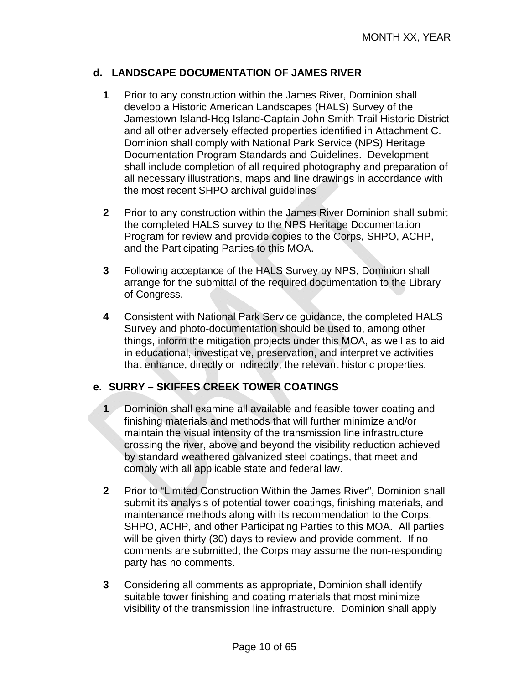#### **d. LANDSCAPE DOCUMENTATION OF JAMES RIVER**

- **1** Prior to any construction within the James River, Dominion shall develop a Historic American Landscapes (HALS) Survey of the Jamestown Island-Hog Island-Captain John Smith Trail Historic District and all other adversely effected properties identified in Attachment C. Dominion shall comply with National Park Service (NPS) Heritage Documentation Program Standards and Guidelines. Development shall include completion of all required photography and preparation of all necessary illustrations, maps and line drawings in accordance with the most recent SHPO archival guidelines
- **2** Prior to any construction within the James River Dominion shall submit the completed HALS survey to the NPS Heritage Documentation Program for review and provide copies to the Corps, SHPO, ACHP, and the Participating Parties to this MOA.
- **3** Following acceptance of the HALS Survey by NPS, Dominion shall arrange for the submittal of the required documentation to the Library of Congress.
- **4** Consistent with National Park Service guidance, the completed HALS Survey and photo-documentation should be used to, among other things, inform the mitigation projects under this MOA, as well as to aid in educational, investigative, preservation, and interpretive activities that enhance, directly or indirectly, the relevant historic properties.

#### **e. SURRY – SKIFFES CREEK TOWER COATINGS**

- **1** Dominion shall examine all available and feasible tower coating and finishing materials and methods that will further minimize and/or maintain the visual intensity of the transmission line infrastructure crossing the river, above and beyond the visibility reduction achieved by standard weathered galvanized steel coatings, that meet and comply with all applicable state and federal law.
- **2** Prior to "Limited Construction Within the James River", Dominion shall submit its analysis of potential tower coatings, finishing materials, and maintenance methods along with its recommendation to the Corps, SHPO, ACHP, and other Participating Parties to this MOA. All parties will be given thirty (30) days to review and provide comment. If no comments are submitted, the Corps may assume the non-responding party has no comments.
- **3** Considering all comments as appropriate, Dominion shall identify suitable tower finishing and coating materials that most minimize visibility of the transmission line infrastructure. Dominion shall apply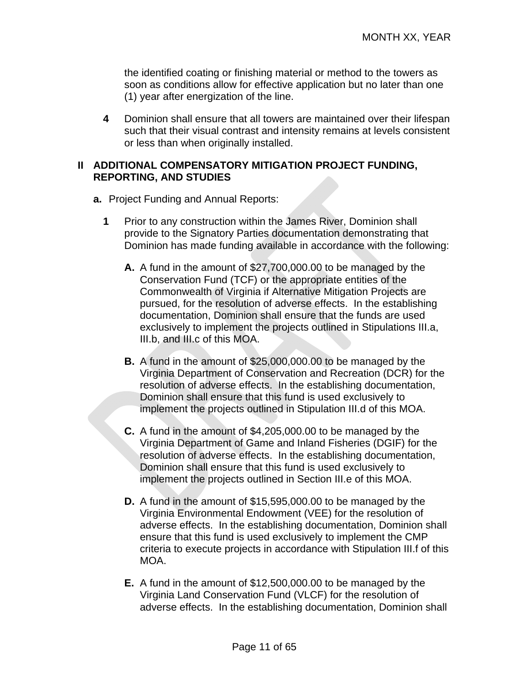the identified coating or finishing material or method to the towers as soon as conditions allow for effective application but no later than one (1) year after energization of the line.

**4** Dominion shall ensure that all towers are maintained over their lifespan such that their visual contrast and intensity remains at levels consistent or less than when originally installed.

#### **II ADDITIONAL COMPENSATORY MITIGATION PROJECT FUNDING, REPORTING, AND STUDIES**

- **a.** Project Funding and Annual Reports:
	- **1** Prior to any construction within the James River, Dominion shall provide to the Signatory Parties documentation demonstrating that Dominion has made funding available in accordance with the following:
		- **A.** A fund in the amount of \$27,700,000.00 to be managed by the Conservation Fund (TCF) or the appropriate entities of the Commonwealth of Virginia if Alternative Mitigation Projects are pursued, for the resolution of adverse effects. In the establishing documentation, Dominion shall ensure that the funds are used exclusively to implement the projects outlined in Stipulations III.a, III.b, and III.c of this MOA.
		- **B.** A fund in the amount of \$25,000,000.00 to be managed by the Virginia Department of Conservation and Recreation (DCR) for the resolution of adverse effects. In the establishing documentation, Dominion shall ensure that this fund is used exclusively to implement the projects outlined in Stipulation III.d of this MOA.
		- **C.** A fund in the amount of \$4,205,000.00 to be managed by the Virginia Department of Game and Inland Fisheries (DGIF) for the resolution of adverse effects. In the establishing documentation, Dominion shall ensure that this fund is used exclusively to implement the projects outlined in Section III.e of this MOA.
		- **D.** A fund in the amount of \$15,595,000.00 to be managed by the Virginia Environmental Endowment (VEE) for the resolution of adverse effects. In the establishing documentation, Dominion shall ensure that this fund is used exclusively to implement the CMP criteria to execute projects in accordance with Stipulation III.f of this MOA.
		- **E.** A fund in the amount of \$12,500,000.00 to be managed by the Virginia Land Conservation Fund (VLCF) for the resolution of adverse effects. In the establishing documentation, Dominion shall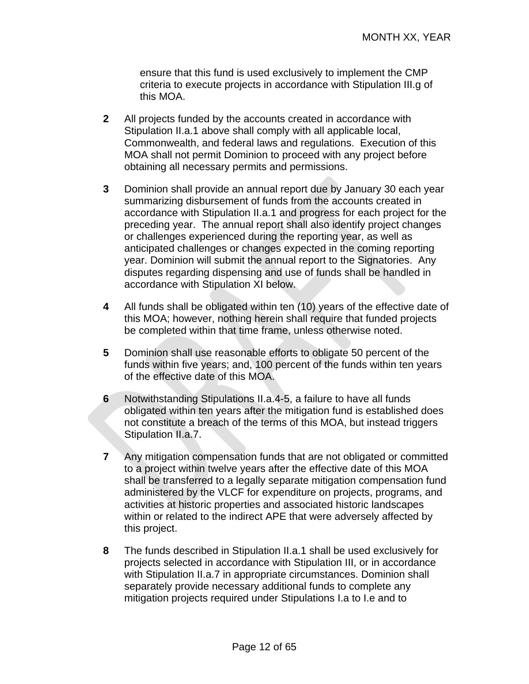ensure that this fund is used exclusively to implement the CMP criteria to execute projects in accordance with Stipulation III.g of this MOA.

- **2** All projects funded by the accounts created in accordance with Stipulation II.a.1 above shall comply with all applicable local, Commonwealth, and federal laws and regulations. Execution of this MOA shall not permit Dominion to proceed with any project before obtaining all necessary permits and permissions.
- **3** Dominion shall provide an annual report due by January 30 each year summarizing disbursement of funds from the accounts created in accordance with Stipulation II.a.1 and progress for each project for the preceding year. The annual report shall also identify project changes or challenges experienced during the reporting year, as well as anticipated challenges or changes expected in the coming reporting year. Dominion will submit the annual report to the Signatories. Any disputes regarding dispensing and use of funds shall be handled in accordance with Stipulation XI below.
- **4** All funds shall be obligated within ten (10) years of the effective date of this MOA; however, nothing herein shall require that funded projects be completed within that time frame, unless otherwise noted.
- **5** Dominion shall use reasonable efforts to obligate 50 percent of the funds within five years; and, 100 percent of the funds within ten years of the effective date of this MOA.
- **6** Notwithstanding Stipulations II.a.4-5, a failure to have all funds obligated within ten years after the mitigation fund is established does not constitute a breach of the terms of this MOA, but instead triggers Stipulation II.a.7.
- **7** Any mitigation compensation funds that are not obligated or committed to a project within twelve years after the effective date of this MOA shall be transferred to a legally separate mitigation compensation fund administered by the VLCF for expenditure on projects, programs, and activities at historic properties and associated historic landscapes within or related to the indirect APE that were adversely affected by this project.
- **8** The funds described in Stipulation II.a.1 shall be used exclusively for projects selected in accordance with Stipulation III, or in accordance with Stipulation II.a.7 in appropriate circumstances. Dominion shall separately provide necessary additional funds to complete any mitigation projects required under Stipulations I.a to I.e and to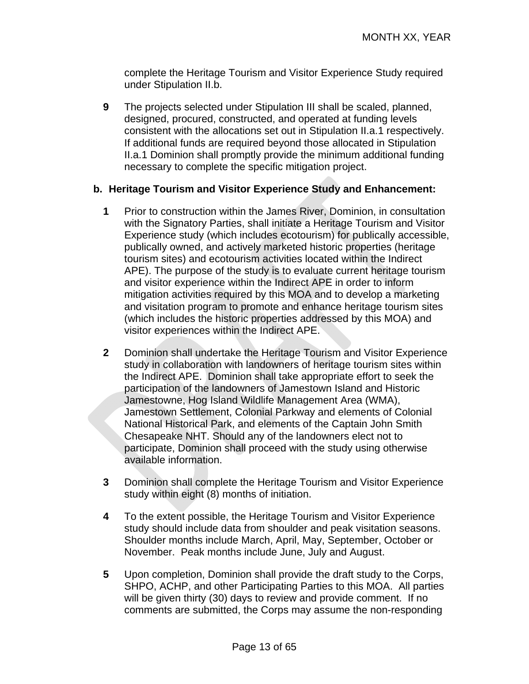complete the Heritage Tourism and Visitor Experience Study required under Stipulation II.b.

**9** The projects selected under Stipulation III shall be scaled, planned, designed, procured, constructed, and operated at funding levels consistent with the allocations set out in Stipulation II.a.1 respectively. If additional funds are required beyond those allocated in Stipulation II.a.1 Dominion shall promptly provide the minimum additional funding necessary to complete the specific mitigation project.

#### **b. Heritage Tourism and Visitor Experience Study and Enhancement:**

- **1** Prior to construction within the James River, Dominion, in consultation with the Signatory Parties, shall initiate a Heritage Tourism and Visitor Experience study (which includes ecotourism) for publically accessible, publically owned, and actively marketed historic properties (heritage tourism sites) and ecotourism activities located within the Indirect APE). The purpose of the study is to evaluate current heritage tourism and visitor experience within the Indirect APE in order to inform mitigation activities required by this MOA and to develop a marketing and visitation program to promote and enhance heritage tourism sites (which includes the historic properties addressed by this MOA) and visitor experiences within the Indirect APE.
- **2** Dominion shall undertake the Heritage Tourism and Visitor Experience study in collaboration with landowners of heritage tourism sites within the Indirect APE. Dominion shall take appropriate effort to seek the participation of the landowners of Jamestown Island and Historic Jamestowne, Hog Island Wildlife Management Area (WMA), Jamestown Settlement, Colonial Parkway and elements of Colonial National Historical Park, and elements of the Captain John Smith Chesapeake NHT. Should any of the landowners elect not to participate, Dominion shall proceed with the study using otherwise available information.
- **3** Dominion shall complete the Heritage Tourism and Visitor Experience study within eight (8) months of initiation.
- **4** To the extent possible, the Heritage Tourism and Visitor Experience study should include data from shoulder and peak visitation seasons. Shoulder months include March, April, May, September, October or November. Peak months include June, July and August.
- **5** Upon completion, Dominion shall provide the draft study to the Corps, SHPO, ACHP, and other Participating Parties to this MOA. All parties will be given thirty (30) days to review and provide comment. If no comments are submitted, the Corps may assume the non-responding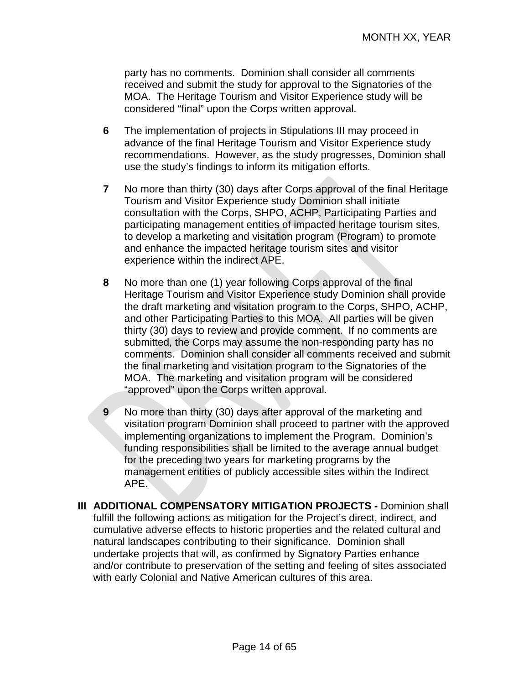party has no comments. Dominion shall consider all comments received and submit the study for approval to the Signatories of the MOA. The Heritage Tourism and Visitor Experience study will be considered "final" upon the Corps written approval.

- **6** The implementation of projects in Stipulations III may proceed in advance of the final Heritage Tourism and Visitor Experience study recommendations. However, as the study progresses, Dominion shall use the study's findings to inform its mitigation efforts.
- **7** No more than thirty (30) days after Corps approval of the final Heritage Tourism and Visitor Experience study Dominion shall initiate consultation with the Corps, SHPO, ACHP, Participating Parties and participating management entities of impacted heritage tourism sites, to develop a marketing and visitation program (Program) to promote and enhance the impacted heritage tourism sites and visitor experience within the indirect APE.
- **8** No more than one (1) year following Corps approval of the final Heritage Tourism and Visitor Experience study Dominion shall provide the draft marketing and visitation program to the Corps, SHPO, ACHP, and other Participating Parties to this MOA. All parties will be given thirty (30) days to review and provide comment. If no comments are submitted, the Corps may assume the non-responding party has no comments. Dominion shall consider all comments received and submit the final marketing and visitation program to the Signatories of the MOA. The marketing and visitation program will be considered "approved" upon the Corps written approval.
- **9** No more than thirty (30) days after approval of the marketing and visitation program Dominion shall proceed to partner with the approved implementing organizations to implement the Program. Dominion's funding responsibilities shall be limited to the average annual budget for the preceding two years for marketing programs by the management entities of publicly accessible sites within the Indirect APE.
- **III ADDITIONAL COMPENSATORY MITIGATION PROJECTS** Dominion shall fulfill the following actions as mitigation for the Project's direct, indirect, and cumulative adverse effects to historic properties and the related cultural and natural landscapes contributing to their significance. Dominion shall undertake projects that will, as confirmed by Signatory Parties enhance and/or contribute to preservation of the setting and feeling of sites associated with early Colonial and Native American cultures of this area.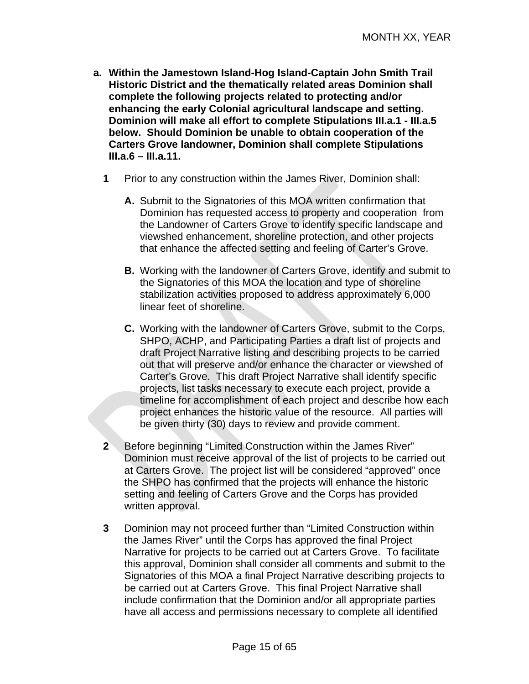- **a. Within the Jamestown Island-Hog Island-Captain John Smith Trail Historic District and the thematically related areas Dominion shall complete the following projects related to protecting and/or enhancing the early Colonial agricultural landscape and setting. Dominion will make all effort to complete Stipulations III.a.1 - III.a.5 below. Should Dominion be unable to obtain cooperation of the Carters Grove landowner, Dominion shall complete Stipulations III.a.6 – III.a.11.** 
	- **1** Prior to any construction within the James River, Dominion shall:
		- **A.** Submit to the Signatories of this MOA written confirmation that Dominion has requested access to property and cooperation from the Landowner of Carters Grove to identify specific landscape and viewshed enhancement, shoreline protection, and other projects that enhance the affected setting and feeling of Carter's Grove.
		- **B.** Working with the landowner of Carters Grove, identify and submit to the Signatories of this MOA the location and type of shoreline stabilization activities proposed to address approximately 6,000 linear feet of shoreline.
		- **C.** Working with the landowner of Carters Grove, submit to the Corps, SHPO, ACHP, and Participating Parties a draft list of projects and draft Project Narrative listing and describing projects to be carried out that will preserve and/or enhance the character or viewshed of Carter's Grove. This draft Project Narrative shall identify specific projects, list tasks necessary to execute each project, provide a timeline for accomplishment of each project and describe how each project enhances the historic value of the resource. All parties will be given thirty (30) days to review and provide comment.
	- **2** Before beginning "Limited Construction within the James River" Dominion must receive approval of the list of projects to be carried out at Carters Grove. The project list will be considered "approved" once the SHPO has confirmed that the projects will enhance the historic setting and feeling of Carters Grove and the Corps has provided written approval.
	- **3** Dominion may not proceed further than "Limited Construction within the James River" until the Corps has approved the final Project Narrative for projects to be carried out at Carters Grove. To facilitate this approval, Dominion shall consider all comments and submit to the Signatories of this MOA a final Project Narrative describing projects to be carried out at Carters Grove. This final Project Narrative shall include confirmation that the Dominion and/or all appropriate parties have all access and permissions necessary to complete all identified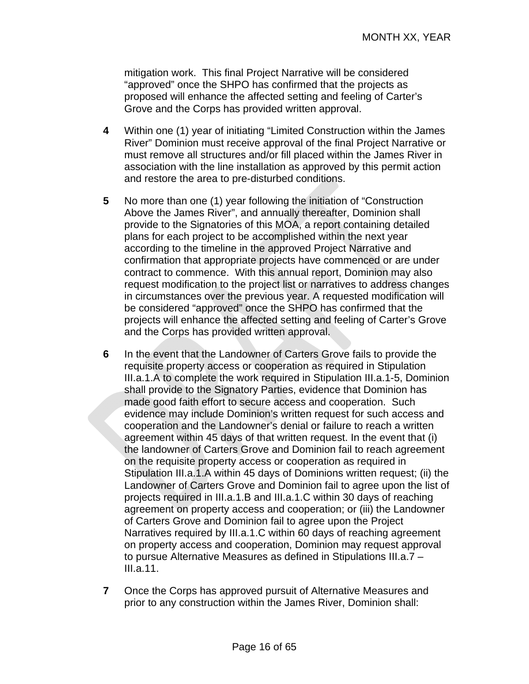mitigation work. This final Project Narrative will be considered "approved" once the SHPO has confirmed that the projects as proposed will enhance the affected setting and feeling of Carter's Grove and the Corps has provided written approval.

- **4** Within one (1) year of initiating "Limited Construction within the James River" Dominion must receive approval of the final Project Narrative or must remove all structures and/or fill placed within the James River in association with the line installation as approved by this permit action and restore the area to pre-disturbed conditions.
- **5** No more than one (1) year following the initiation of "Construction Above the James River", and annually thereafter, Dominion shall provide to the Signatories of this MOA, a report containing detailed plans for each project to be accomplished within the next year according to the timeline in the approved Project Narrative and confirmation that appropriate projects have commenced or are under contract to commence. With this annual report, Dominion may also request modification to the project list or narratives to address changes in circumstances over the previous year. A requested modification will be considered "approved" once the SHPO has confirmed that the projects will enhance the affected setting and feeling of Carter's Grove and the Corps has provided written approval.
- **6** In the event that the Landowner of Carters Grove fails to provide the requisite property access or cooperation as required in Stipulation III.a.1.A to complete the work required in Stipulation III.a.1-5, Dominion shall provide to the Signatory Parties, evidence that Dominion has made good faith effort to secure access and cooperation. Such evidence may include Dominion's written request for such access and cooperation and the Landowner's denial or failure to reach a written agreement within 45 days of that written request. In the event that (i) the landowner of Carters Grove and Dominion fail to reach agreement on the requisite property access or cooperation as required in Stipulation III.a.1.A within 45 days of Dominions written request; (ii) the Landowner of Carters Grove and Dominion fail to agree upon the list of projects required in III.a.1.B and III.a.1.C within 30 days of reaching agreement on property access and cooperation; or (iii) the Landowner of Carters Grove and Dominion fail to agree upon the Project Narratives required by III.a.1.C within 60 days of reaching agreement on property access and cooperation, Dominion may request approval to pursue Alternative Measures as defined in Stipulations III.a.7 – III.a.11.
- **7** Once the Corps has approved pursuit of Alternative Measures and prior to any construction within the James River, Dominion shall: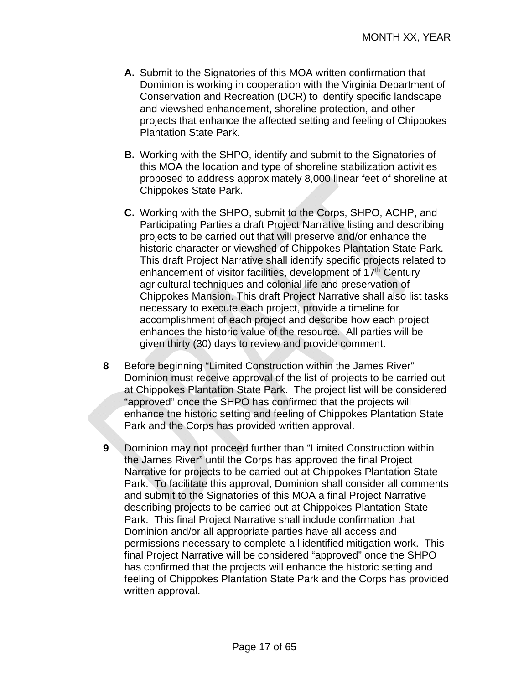- **A.** Submit to the Signatories of this MOA written confirmation that Dominion is working in cooperation with the Virginia Department of Conservation and Recreation (DCR) to identify specific landscape and viewshed enhancement, shoreline protection, and other projects that enhance the affected setting and feeling of Chippokes Plantation State Park.
- **B.** Working with the SHPO, identify and submit to the Signatories of this MOA the location and type of shoreline stabilization activities proposed to address approximately 8,000 linear feet of shoreline at Chippokes State Park.
- **C.** Working with the SHPO, submit to the Corps, SHPO, ACHP, and Participating Parties a draft Project Narrative listing and describing projects to be carried out that will preserve and/or enhance the historic character or viewshed of Chippokes Plantation State Park. This draft Project Narrative shall identify specific projects related to enhancement of visitor facilities, development of 17<sup>th</sup> Century agricultural techniques and colonial life and preservation of Chippokes Mansion. This draft Project Narrative shall also list tasks necessary to execute each project, provide a timeline for accomplishment of each project and describe how each project enhances the historic value of the resource. All parties will be given thirty (30) days to review and provide comment.
- **8** Before beginning "Limited Construction within the James River" Dominion must receive approval of the list of projects to be carried out at Chippokes Plantation State Park. The project list will be considered "approved" once the SHPO has confirmed that the projects will enhance the historic setting and feeling of Chippokes Plantation State Park and the Corps has provided written approval.
- **9** Dominion may not proceed further than "Limited Construction within the James River" until the Corps has approved the final Project Narrative for projects to be carried out at Chippokes Plantation State Park. To facilitate this approval, Dominion shall consider all comments and submit to the Signatories of this MOA a final Project Narrative describing projects to be carried out at Chippokes Plantation State Park. This final Project Narrative shall include confirmation that Dominion and/or all appropriate parties have all access and permissions necessary to complete all identified mitigation work. This final Project Narrative will be considered "approved" once the SHPO has confirmed that the projects will enhance the historic setting and feeling of Chippokes Plantation State Park and the Corps has provided written approval.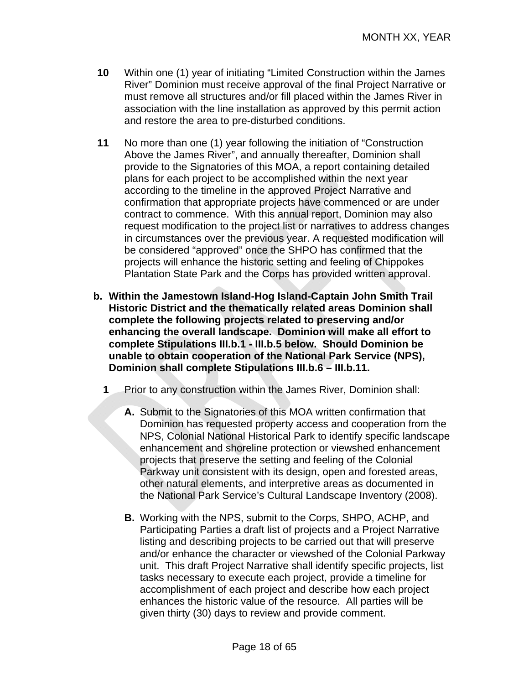- **10** Within one (1) year of initiating "Limited Construction within the James River" Dominion must receive approval of the final Project Narrative or must remove all structures and/or fill placed within the James River in association with the line installation as approved by this permit action and restore the area to pre-disturbed conditions.
- **11** No more than one (1) year following the initiation of "Construction Above the James River", and annually thereafter, Dominion shall provide to the Signatories of this MOA, a report containing detailed plans for each project to be accomplished within the next year according to the timeline in the approved Project Narrative and confirmation that appropriate projects have commenced or are under contract to commence. With this annual report, Dominion may also request modification to the project list or narratives to address changes in circumstances over the previous year. A requested modification will be considered "approved" once the SHPO has confirmed that the projects will enhance the historic setting and feeling of Chippokes Plantation State Park and the Corps has provided written approval.
- **b. Within the Jamestown Island-Hog Island-Captain John Smith Trail Historic District and the thematically related areas Dominion shall complete the following projects related to preserving and/or enhancing the overall landscape. Dominion will make all effort to complete Stipulations III.b.1 - III.b.5 below. Should Dominion be unable to obtain cooperation of the National Park Service (NPS), Dominion shall complete Stipulations III.b.6 – III.b.11.** 
	- **1** Prior to any construction within the James River, Dominion shall:
		- **A.** Submit to the Signatories of this MOA written confirmation that Dominion has requested property access and cooperation from the NPS, Colonial National Historical Park to identify specific landscape enhancement and shoreline protection or viewshed enhancement projects that preserve the setting and feeling of the Colonial Parkway unit consistent with its design, open and forested areas, other natural elements, and interpretive areas as documented in the National Park Service's Cultural Landscape Inventory (2008).
		- **B.** Working with the NPS, submit to the Corps, SHPO, ACHP, and Participating Parties a draft list of projects and a Project Narrative listing and describing projects to be carried out that will preserve and/or enhance the character or viewshed of the Colonial Parkway unit. This draft Project Narrative shall identify specific projects, list tasks necessary to execute each project, provide a timeline for accomplishment of each project and describe how each project enhances the historic value of the resource. All parties will be given thirty (30) days to review and provide comment.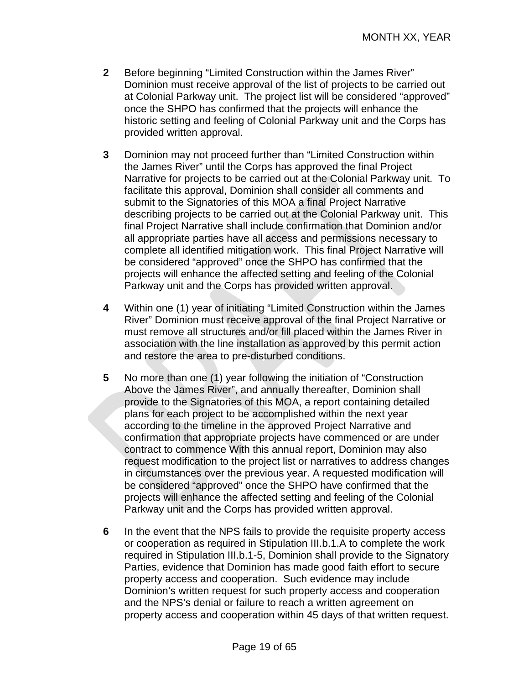- **2** Before beginning "Limited Construction within the James River" Dominion must receive approval of the list of projects to be carried out at Colonial Parkway unit. The project list will be considered "approved" once the SHPO has confirmed that the projects will enhance the historic setting and feeling of Colonial Parkway unit and the Corps has provided written approval.
- **3** Dominion may not proceed further than "Limited Construction within the James River" until the Corps has approved the final Project Narrative for projects to be carried out at the Colonial Parkway unit. To facilitate this approval, Dominion shall consider all comments and submit to the Signatories of this MOA a final Project Narrative describing projects to be carried out at the Colonial Parkway unit. This final Project Narrative shall include confirmation that Dominion and/or all appropriate parties have all access and permissions necessary to complete all identified mitigation work. This final Project Narrative will be considered "approved" once the SHPO has confirmed that the projects will enhance the affected setting and feeling of the Colonial Parkway unit and the Corps has provided written approval.
- **4** Within one (1) year of initiating "Limited Construction within the James River" Dominion must receive approval of the final Project Narrative or must remove all structures and/or fill placed within the James River in association with the line installation as approved by this permit action and restore the area to pre-disturbed conditions.
- **5** No more than one (1) year following the initiation of "Construction Above the James River", and annually thereafter, Dominion shall provide to the Signatories of this MOA, a report containing detailed plans for each project to be accomplished within the next year according to the timeline in the approved Project Narrative and confirmation that appropriate projects have commenced or are under contract to commence With this annual report, Dominion may also request modification to the project list or narratives to address changes in circumstances over the previous year. A requested modification will be considered "approved" once the SHPO have confirmed that the projects will enhance the affected setting and feeling of the Colonial Parkway unit and the Corps has provided written approval.
- **6** In the event that the NPS fails to provide the requisite property access or cooperation as required in Stipulation III.b.1.A to complete the work required in Stipulation III.b.1-5, Dominion shall provide to the Signatory Parties, evidence that Dominion has made good faith effort to secure property access and cooperation. Such evidence may include Dominion's written request for such property access and cooperation and the NPS's denial or failure to reach a written agreement on property access and cooperation within 45 days of that written request.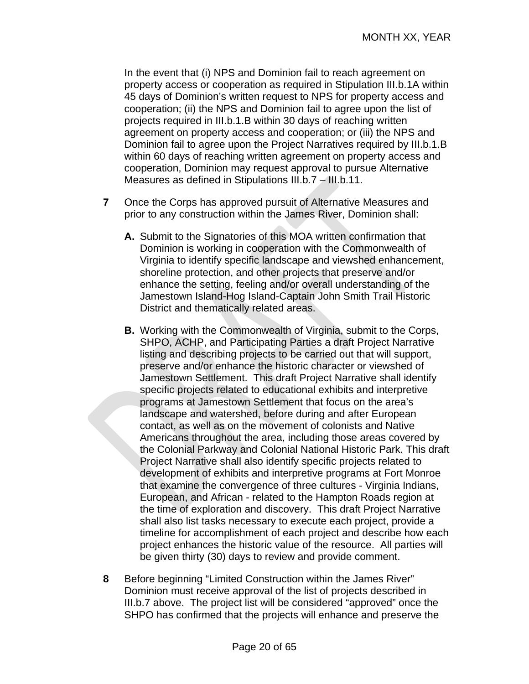In the event that (i) NPS and Dominion fail to reach agreement on property access or cooperation as required in Stipulation III.b.1A within 45 days of Dominion's written request to NPS for property access and cooperation; (ii) the NPS and Dominion fail to agree upon the list of projects required in III.b.1.B within 30 days of reaching written agreement on property access and cooperation; or (iii) the NPS and Dominion fail to agree upon the Project Narratives required by III.b.1.B within 60 days of reaching written agreement on property access and cooperation, Dominion may request approval to pursue Alternative Measures as defined in Stipulations III.b.7 – III.b.11.

- **7** Once the Corps has approved pursuit of Alternative Measures and prior to any construction within the James River, Dominion shall:
	- **A.** Submit to the Signatories of this MOA written confirmation that Dominion is working in cooperation with the Commonwealth of Virginia to identify specific landscape and viewshed enhancement, shoreline protection, and other projects that preserve and/or enhance the setting, feeling and/or overall understanding of the Jamestown Island-Hog Island-Captain John Smith Trail Historic District and thematically related areas.
	- **B.** Working with the Commonwealth of Virginia, submit to the Corps, SHPO, ACHP, and Participating Parties a draft Project Narrative listing and describing projects to be carried out that will support, preserve and/or enhance the historic character or viewshed of Jamestown Settlement. This draft Project Narrative shall identify specific projects related to educational exhibits and interpretive programs at Jamestown Settlement that focus on the area's landscape and watershed, before during and after European contact, as well as on the movement of colonists and Native Americans throughout the area, including those areas covered by the Colonial Parkway and Colonial National Historic Park. This draft Project Narrative shall also identify specific projects related to development of exhibits and interpretive programs at Fort Monroe that examine the convergence of three cultures - Virginia Indians, European, and African - related to the Hampton Roads region at the time of exploration and discovery. This draft Project Narrative shall also list tasks necessary to execute each project, provide a timeline for accomplishment of each project and describe how each project enhances the historic value of the resource. All parties will be given thirty (30) days to review and provide comment.
- **8** Before beginning "Limited Construction within the James River" Dominion must receive approval of the list of projects described in III.b.7 above. The project list will be considered "approved" once the SHPO has confirmed that the projects will enhance and preserve the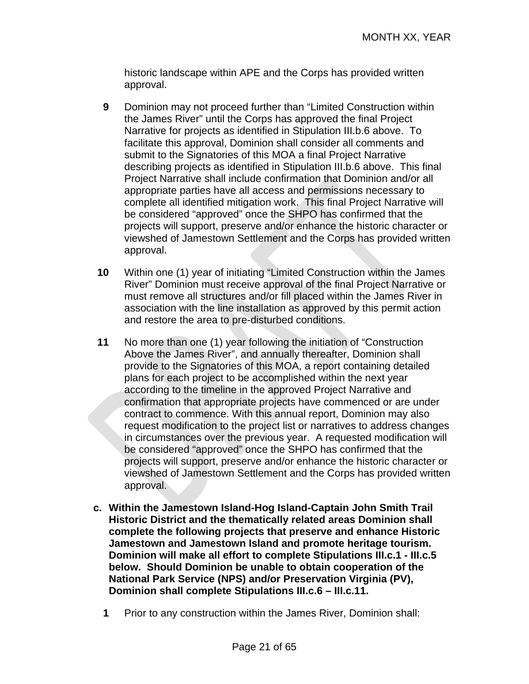historic landscape within APE and the Corps has provided written approval.

- **9** Dominion may not proceed further than "Limited Construction within the James River" until the Corps has approved the final Project Narrative for projects as identified in Stipulation III.b.6 above. To facilitate this approval, Dominion shall consider all comments and submit to the Signatories of this MOA a final Project Narrative describing projects as identified in Stipulation III.b.6 above. This final Project Narrative shall include confirmation that Dominion and/or all appropriate parties have all access and permissions necessary to complete all identified mitigation work. This final Project Narrative will be considered "approved" once the SHPO has confirmed that the projects will support, preserve and/or enhance the historic character or viewshed of Jamestown Settlement and the Corps has provided written approval.
- **10** Within one (1) year of initiating "Limited Construction within the James River" Dominion must receive approval of the final Project Narrative or must remove all structures and/or fill placed within the James River in association with the line installation as approved by this permit action and restore the area to pre-disturbed conditions.
- **11** No more than one (1) year following the initiation of "Construction Above the James River", and annually thereafter, Dominion shall provide to the Signatories of this MOA, a report containing detailed plans for each project to be accomplished within the next year according to the timeline in the approved Project Narrative and confirmation that appropriate projects have commenced or are under contract to commence. With this annual report, Dominion may also request modification to the project list or narratives to address changes in circumstances over the previous year. A requested modification will be considered "approved" once the SHPO has confirmed that the projects will support, preserve and/or enhance the historic character or viewshed of Jamestown Settlement and the Corps has provided written approval.
- **c. Within the Jamestown Island-Hog Island-Captain John Smith Trail Historic District and the thematically related areas Dominion shall complete the following projects that preserve and enhance Historic Jamestown and Jamestown Island and promote heritage tourism. Dominion will make all effort to complete Stipulations III.c.1 - III.c.5 below. Should Dominion be unable to obtain cooperation of the National Park Service (NPS) and/or Preservation Virginia (PV), Dominion shall complete Stipulations III.c.6 – III.c.11.** 
	- **1** Prior to any construction within the James River, Dominion shall: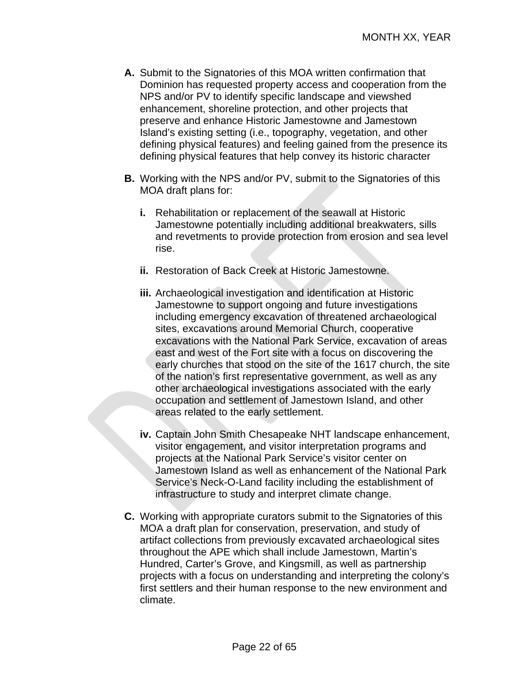- **A.** Submit to the Signatories of this MOA written confirmation that Dominion has requested property access and cooperation from the NPS and/or PV to identify specific landscape and viewshed enhancement, shoreline protection, and other projects that preserve and enhance Historic Jamestowne and Jamestown Island's existing setting (i.e., topography, vegetation, and other defining physical features) and feeling gained from the presence its defining physical features that help convey its historic character
- **B.** Working with the NPS and/or PV, submit to the Signatories of this MOA draft plans for:
	- **i.** Rehabilitation or replacement of the seawall at Historic Jamestowne potentially including additional breakwaters, sills and revetments to provide protection from erosion and sea level rise.
	- **ii.** Restoration of Back Creek at Historic Jamestowne.
	- **iii.** Archaeological investigation and identification at Historic Jamestowne to support ongoing and future investigations including emergency excavation of threatened archaeological sites, excavations around Memorial Church, cooperative excavations with the National Park Service, excavation of areas east and west of the Fort site with a focus on discovering the early churches that stood on the site of the 1617 church, the site of the nation's first representative government, as well as any other archaeological investigations associated with the early occupation and settlement of Jamestown Island, and other areas related to the early settlement.
	- **iv.** Captain John Smith Chesapeake NHT landscape enhancement, visitor engagement, and visitor interpretation programs and projects at the National Park Service's visitor center on Jamestown Island as well as enhancement of the National Park Service's Neck-O-Land facility including the establishment of infrastructure to study and interpret climate change.
- **C.** Working with appropriate curators submit to the Signatories of this MOA a draft plan for conservation, preservation, and study of artifact collections from previously excavated archaeological sites throughout the APE which shall include Jamestown, Martin's Hundred, Carter's Grove, and Kingsmill, as well as partnership projects with a focus on understanding and interpreting the colony's first settlers and their human response to the new environment and climate.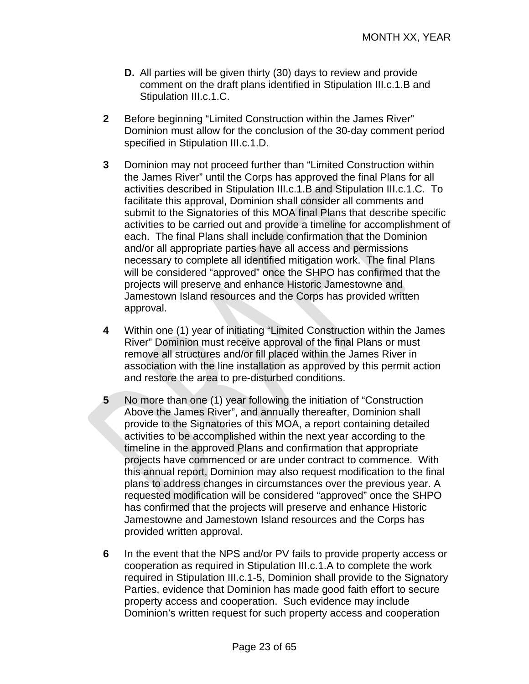- **D.** All parties will be given thirty (30) days to review and provide comment on the draft plans identified in Stipulation III.c.1.B and Stipulation III.c.1.C.
- **2** Before beginning "Limited Construction within the James River" Dominion must allow for the conclusion of the 30-day comment period specified in Stipulation III.c.1.D.
- **3** Dominion may not proceed further than "Limited Construction within the James River" until the Corps has approved the final Plans for all activities described in Stipulation III.c.1.B and Stipulation III.c.1.C. To facilitate this approval, Dominion shall consider all comments and submit to the Signatories of this MOA final Plans that describe specific activities to be carried out and provide a timeline for accomplishment of each. The final Plans shall include confirmation that the Dominion and/or all appropriate parties have all access and permissions necessary to complete all identified mitigation work. The final Plans will be considered "approved" once the SHPO has confirmed that the projects will preserve and enhance Historic Jamestowne and Jamestown Island resources and the Corps has provided written approval.
- **4** Within one (1) year of initiating "Limited Construction within the James River" Dominion must receive approval of the final Plans or must remove all structures and/or fill placed within the James River in association with the line installation as approved by this permit action and restore the area to pre-disturbed conditions.
- **5** No more than one (1) year following the initiation of "Construction Above the James River", and annually thereafter, Dominion shall provide to the Signatories of this MOA, a report containing detailed activities to be accomplished within the next year according to the timeline in the approved Plans and confirmation that appropriate projects have commenced or are under contract to commence. With this annual report, Dominion may also request modification to the final plans to address changes in circumstances over the previous year. A requested modification will be considered "approved" once the SHPO has confirmed that the projects will preserve and enhance Historic Jamestowne and Jamestown Island resources and the Corps has provided written approval.
- **6** In the event that the NPS and/or PV fails to provide property access or cooperation as required in Stipulation III.c.1.A to complete the work required in Stipulation III.c.1-5, Dominion shall provide to the Signatory Parties, evidence that Dominion has made good faith effort to secure property access and cooperation. Such evidence may include Dominion's written request for such property access and cooperation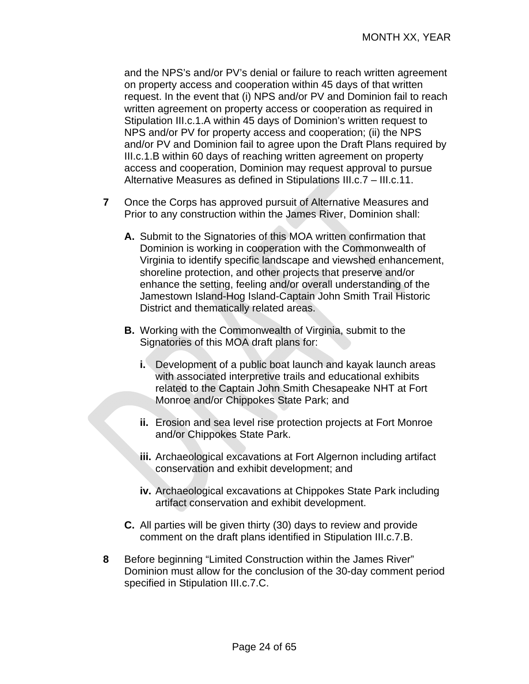and the NPS's and/or PV's denial or failure to reach written agreement on property access and cooperation within 45 days of that written request. In the event that (i) NPS and/or PV and Dominion fail to reach written agreement on property access or cooperation as required in Stipulation III.c.1.A within 45 days of Dominion's written request to NPS and/or PV for property access and cooperation; (ii) the NPS and/or PV and Dominion fail to agree upon the Draft Plans required by III.c.1.B within 60 days of reaching written agreement on property access and cooperation, Dominion may request approval to pursue Alternative Measures as defined in Stipulations III.c.7 – III.c.11.

- **7** Once the Corps has approved pursuit of Alternative Measures and Prior to any construction within the James River, Dominion shall:
	- **A.** Submit to the Signatories of this MOA written confirmation that Dominion is working in cooperation with the Commonwealth of Virginia to identify specific landscape and viewshed enhancement, shoreline protection, and other projects that preserve and/or enhance the setting, feeling and/or overall understanding of the Jamestown Island-Hog Island-Captain John Smith Trail Historic District and thematically related areas.
	- **B.** Working with the Commonwealth of Virginia, submit to the Signatories of this MOA draft plans for:
		- **i.** Development of a public boat launch and kayak launch areas with associated interpretive trails and educational exhibits related to the Captain John Smith Chesapeake NHT at Fort Monroe and/or Chippokes State Park; and
		- **ii.** Erosion and sea level rise protection projects at Fort Monroe and/or Chippokes State Park.
		- **iii.** Archaeological excavations at Fort Algernon including artifact conservation and exhibit development; and
		- **iv.** Archaeological excavations at Chippokes State Park including artifact conservation and exhibit development.
	- **C.** All parties will be given thirty (30) days to review and provide comment on the draft plans identified in Stipulation III.c.7.B.
- **8** Before beginning "Limited Construction within the James River" Dominion must allow for the conclusion of the 30-day comment period specified in Stipulation III.c.7.C.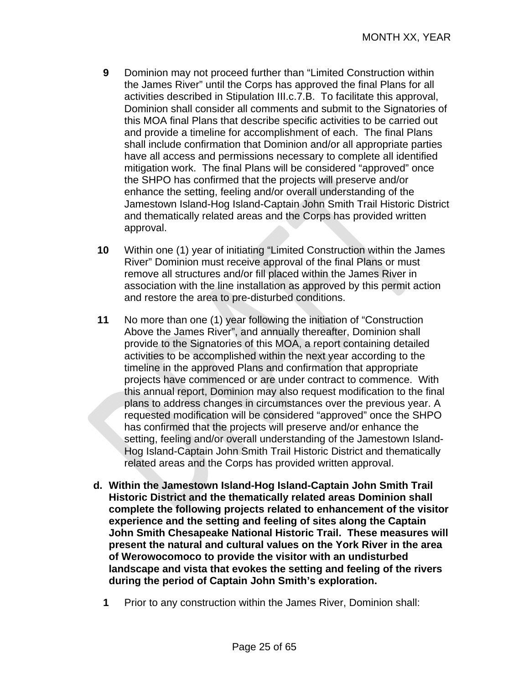- **9** Dominion may not proceed further than "Limited Construction within the James River" until the Corps has approved the final Plans for all activities described in Stipulation III.c.7.B. To facilitate this approval, Dominion shall consider all comments and submit to the Signatories of this MOA final Plans that describe specific activities to be carried out and provide a timeline for accomplishment of each. The final Plans shall include confirmation that Dominion and/or all appropriate parties have all access and permissions necessary to complete all identified mitigation work. The final Plans will be considered "approved" once the SHPO has confirmed that the projects will preserve and/or enhance the setting, feeling and/or overall understanding of the Jamestown Island-Hog Island-Captain John Smith Trail Historic District and thematically related areas and the Corps has provided written approval.
- **10** Within one (1) year of initiating "Limited Construction within the James River" Dominion must receive approval of the final Plans or must remove all structures and/or fill placed within the James River in association with the line installation as approved by this permit action and restore the area to pre-disturbed conditions.
- **11** No more than one (1) year following the initiation of "Construction Above the James River", and annually thereafter, Dominion shall provide to the Signatories of this MOA, a report containing detailed activities to be accomplished within the next year according to the timeline in the approved Plans and confirmation that appropriate projects have commenced or are under contract to commence. With this annual report, Dominion may also request modification to the final plans to address changes in circumstances over the previous year. A requested modification will be considered "approved" once the SHPO has confirmed that the projects will preserve and/or enhance the setting, feeling and/or overall understanding of the Jamestown Island-Hog Island-Captain John Smith Trail Historic District and thematically related areas and the Corps has provided written approval.
- **d. Within the Jamestown Island-Hog Island-Captain John Smith Trail Historic District and the thematically related areas Dominion shall complete the following projects related to enhancement of the visitor experience and the setting and feeling of sites along the Captain John Smith Chesapeake National Historic Trail. These measures will present the natural and cultural values on the York River in the area of Werowocomoco to provide the visitor with an undisturbed landscape and vista that evokes the setting and feeling of the rivers during the period of Captain John Smith's exploration.** 
	- **1** Prior to any construction within the James River, Dominion shall: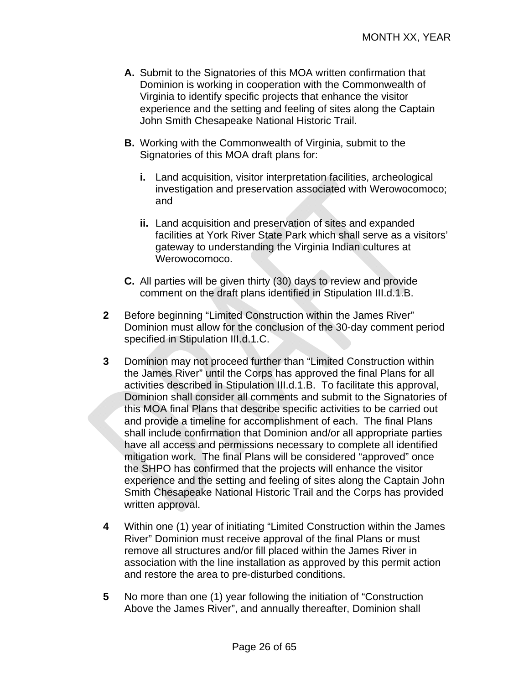- **A.** Submit to the Signatories of this MOA written confirmation that Dominion is working in cooperation with the Commonwealth of Virginia to identify specific projects that enhance the visitor experience and the setting and feeling of sites along the Captain John Smith Chesapeake National Historic Trail.
- **B.** Working with the Commonwealth of Virginia, submit to the Signatories of this MOA draft plans for:
	- **i.** Land acquisition, visitor interpretation facilities, archeological investigation and preservation associated with Werowocomoco; and
	- **ii.** Land acquisition and preservation of sites and expanded facilities at York River State Park which shall serve as a visitors' gateway to understanding the Virginia Indian cultures at Werowocomoco.
- **C.** All parties will be given thirty (30) days to review and provide comment on the draft plans identified in Stipulation III.d.1.B.
- **2** Before beginning "Limited Construction within the James River" Dominion must allow for the conclusion of the 30-day comment period specified in Stipulation III.d.1.C.
- **3** Dominion may not proceed further than "Limited Construction within the James River" until the Corps has approved the final Plans for all activities described in Stipulation III.d.1.B. To facilitate this approval, Dominion shall consider all comments and submit to the Signatories of this MOA final Plans that describe specific activities to be carried out and provide a timeline for accomplishment of each. The final Plans shall include confirmation that Dominion and/or all appropriate parties have all access and permissions necessary to complete all identified mitigation work. The final Plans will be considered "approved" once the SHPO has confirmed that the projects will enhance the visitor experience and the setting and feeling of sites along the Captain John Smith Chesapeake National Historic Trail and the Corps has provided written approval.
- **4** Within one (1) year of initiating "Limited Construction within the James River" Dominion must receive approval of the final Plans or must remove all structures and/or fill placed within the James River in association with the line installation as approved by this permit action and restore the area to pre-disturbed conditions.
- **5** No more than one (1) year following the initiation of "Construction Above the James River", and annually thereafter, Dominion shall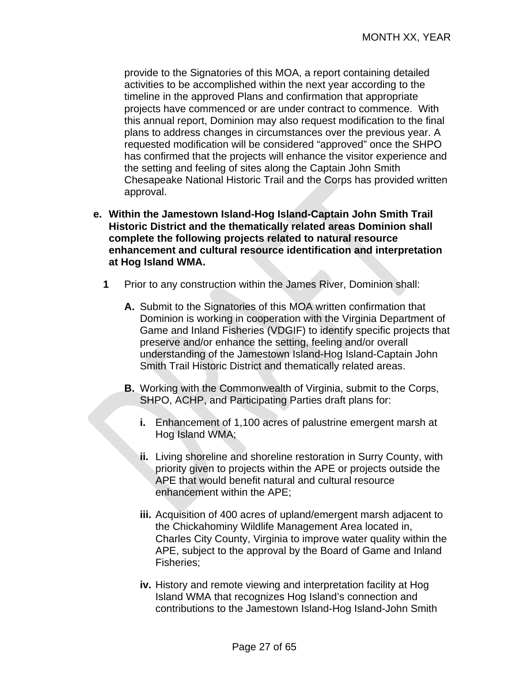provide to the Signatories of this MOA, a report containing detailed activities to be accomplished within the next year according to the timeline in the approved Plans and confirmation that appropriate projects have commenced or are under contract to commence. With this annual report, Dominion may also request modification to the final plans to address changes in circumstances over the previous year. A requested modification will be considered "approved" once the SHPO has confirmed that the projects will enhance the visitor experience and the setting and feeling of sites along the Captain John Smith Chesapeake National Historic Trail and the Corps has provided written approval.

- **e. Within the Jamestown Island-Hog Island-Captain John Smith Trail Historic District and the thematically related areas Dominion shall complete the following projects related to natural resource enhancement and cultural resource identification and interpretation at Hog Island WMA.** 
	- **1** Prior to any construction within the James River, Dominion shall:
		- **A.** Submit to the Signatories of this MOA written confirmation that Dominion is working in cooperation with the Virginia Department of Game and Inland Fisheries (VDGIF) to identify specific projects that preserve and/or enhance the setting, feeling and/or overall understanding of the Jamestown Island-Hog Island-Captain John Smith Trail Historic District and thematically related areas.
		- **B.** Working with the Commonwealth of Virginia, submit to the Corps, SHPO, ACHP, and Participating Parties draft plans for:
			- **i.** Enhancement of 1,100 acres of palustrine emergent marsh at Hog Island WMA;
			- **ii.** Living shoreline and shoreline restoration in Surry County, with priority given to projects within the APE or projects outside the APE that would benefit natural and cultural resource enhancement within the APE;
			- **iii.** Acquisition of 400 acres of upland/emergent marsh adjacent to the Chickahominy Wildlife Management Area located in, Charles City County, Virginia to improve water quality within the APE, subject to the approval by the Board of Game and Inland Fisheries;
			- **iv.** History and remote viewing and interpretation facility at Hog Island WMA that recognizes Hog Island's connection and contributions to the Jamestown Island-Hog Island-John Smith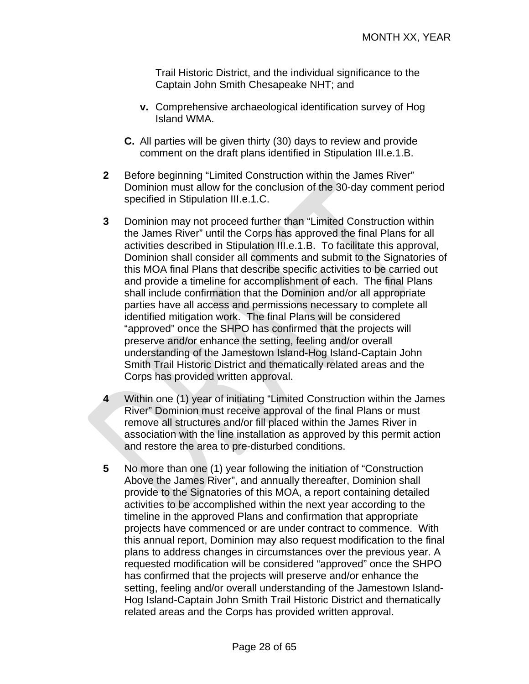Trail Historic District, and the individual significance to the Captain John Smith Chesapeake NHT; and

- **v.** Comprehensive archaeological identification survey of Hog Island WMA.
- **C.** All parties will be given thirty (30) days to review and provide comment on the draft plans identified in Stipulation III.e.1.B.
- **2** Before beginning "Limited Construction within the James River" Dominion must allow for the conclusion of the 30-day comment period specified in Stipulation III.e.1.C.
- **3** Dominion may not proceed further than "Limited Construction within the James River" until the Corps has approved the final Plans for all activities described in Stipulation III.e.1.B. To facilitate this approval, Dominion shall consider all comments and submit to the Signatories of this MOA final Plans that describe specific activities to be carried out and provide a timeline for accomplishment of each. The final Plans shall include confirmation that the Dominion and/or all appropriate parties have all access and permissions necessary to complete all identified mitigation work. The final Plans will be considered "approved" once the SHPO has confirmed that the projects will preserve and/or enhance the setting, feeling and/or overall understanding of the Jamestown Island-Hog Island-Captain John Smith Trail Historic District and thematically related areas and the Corps has provided written approval.
- **4** Within one (1) year of initiating "Limited Construction within the James River" Dominion must receive approval of the final Plans or must remove all structures and/or fill placed within the James River in association with the line installation as approved by this permit action and restore the area to pre-disturbed conditions.
- **5** No more than one (1) year following the initiation of "Construction Above the James River", and annually thereafter, Dominion shall provide to the Signatories of this MOA, a report containing detailed activities to be accomplished within the next year according to the timeline in the approved Plans and confirmation that appropriate projects have commenced or are under contract to commence. With this annual report, Dominion may also request modification to the final plans to address changes in circumstances over the previous year. A requested modification will be considered "approved" once the SHPO has confirmed that the projects will preserve and/or enhance the setting, feeling and/or overall understanding of the Jamestown Island-Hog Island-Captain John Smith Trail Historic District and thematically related areas and the Corps has provided written approval.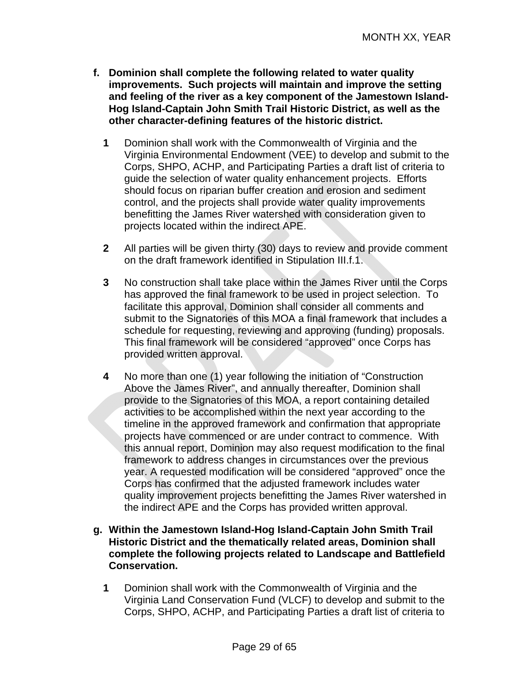- **f. Dominion shall complete the following related to water quality improvements. Such projects will maintain and improve the setting and feeling of the river as a key component of the Jamestown Island-Hog Island-Captain John Smith Trail Historic District, as well as the other character-defining features of the historic district.** 
	- **1** Dominion shall work with the Commonwealth of Virginia and the Virginia Environmental Endowment (VEE) to develop and submit to the Corps, SHPO, ACHP, and Participating Parties a draft list of criteria to guide the selection of water quality enhancement projects. Efforts should focus on riparian buffer creation and erosion and sediment control, and the projects shall provide water quality improvements benefitting the James River watershed with consideration given to projects located within the indirect APE.
	- **2** All parties will be given thirty (30) days to review and provide comment on the draft framework identified in Stipulation III.f.1.
	- **3** No construction shall take place within the James River until the Corps has approved the final framework to be used in project selection. To facilitate this approval, Dominion shall consider all comments and submit to the Signatories of this MOA a final framework that includes a schedule for requesting, reviewing and approving (funding) proposals. This final framework will be considered "approved" once Corps has provided written approval.
	- **4** No more than one (1) year following the initiation of "Construction Above the James River", and annually thereafter, Dominion shall provide to the Signatories of this MOA, a report containing detailed activities to be accomplished within the next year according to the timeline in the approved framework and confirmation that appropriate projects have commenced or are under contract to commence. With this annual report, Dominion may also request modification to the final framework to address changes in circumstances over the previous year. A requested modification will be considered "approved" once the Corps has confirmed that the adjusted framework includes water quality improvement projects benefitting the James River watershed in the indirect APE and the Corps has provided written approval.
- **g. Within the Jamestown Island-Hog Island-Captain John Smith Trail Historic District and the thematically related areas, Dominion shall complete the following projects related to Landscape and Battlefield Conservation.** 
	- **1** Dominion shall work with the Commonwealth of Virginia and the Virginia Land Conservation Fund (VLCF) to develop and submit to the Corps, SHPO, ACHP, and Participating Parties a draft list of criteria to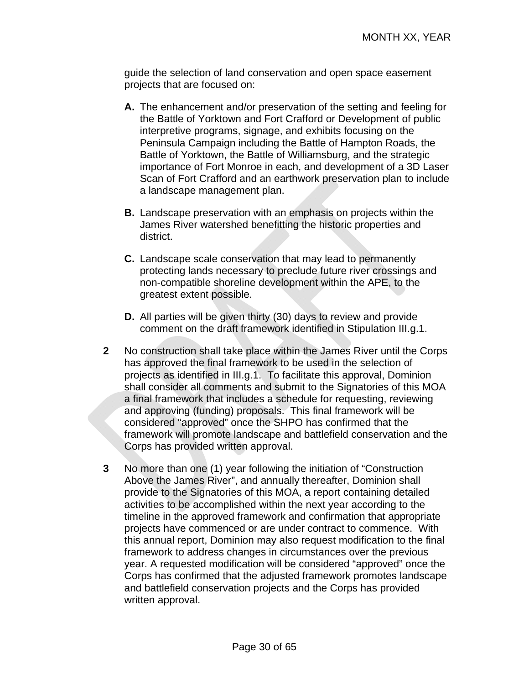guide the selection of land conservation and open space easement projects that are focused on:

- **A.** The enhancement and/or preservation of the setting and feeling for the Battle of Yorktown and Fort Crafford or Development of public interpretive programs, signage, and exhibits focusing on the Peninsula Campaign including the Battle of Hampton Roads, the Battle of Yorktown, the Battle of Williamsburg, and the strategic importance of Fort Monroe in each, and development of a 3D Laser Scan of Fort Crafford and an earthwork preservation plan to include a landscape management plan.
- **B.** Landscape preservation with an emphasis on projects within the James River watershed benefitting the historic properties and district.
- **C.** Landscape scale conservation that may lead to permanently protecting lands necessary to preclude future river crossings and non-compatible shoreline development within the APE, to the greatest extent possible.
- **D.** All parties will be given thirty (30) days to review and provide comment on the draft framework identified in Stipulation III.g.1.
- **2** No construction shall take place within the James River until the Corps has approved the final framework to be used in the selection of projects as identified in III.g.1. To facilitate this approval, Dominion shall consider all comments and submit to the Signatories of this MOA a final framework that includes a schedule for requesting, reviewing and approving (funding) proposals. This final framework will be considered "approved" once the SHPO has confirmed that the framework will promote landscape and battlefield conservation and the Corps has provided written approval.
- **3** No more than one (1) year following the initiation of "Construction Above the James River", and annually thereafter, Dominion shall provide to the Signatories of this MOA, a report containing detailed activities to be accomplished within the next year according to the timeline in the approved framework and confirmation that appropriate projects have commenced or are under contract to commence. With this annual report, Dominion may also request modification to the final framework to address changes in circumstances over the previous year. A requested modification will be considered "approved" once the Corps has confirmed that the adjusted framework promotes landscape and battlefield conservation projects and the Corps has provided written approval.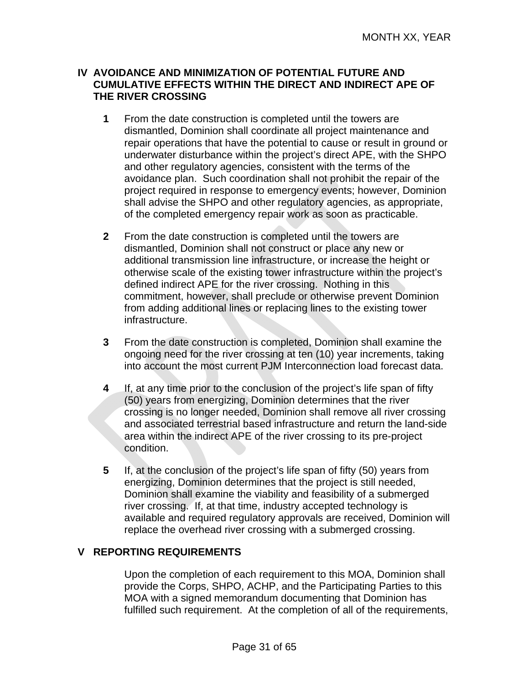#### **IV AVOIDANCE AND MINIMIZATION OF POTENTIAL FUTURE AND CUMULATIVE EFFECTS WITHIN THE DIRECT AND INDIRECT APE OF THE RIVER CROSSING**

- **1** From the date construction is completed until the towers are dismantled, Dominion shall coordinate all project maintenance and repair operations that have the potential to cause or result in ground or underwater disturbance within the project's direct APE, with the SHPO and other regulatory agencies, consistent with the terms of the avoidance plan. Such coordination shall not prohibit the repair of the project required in response to emergency events; however, Dominion shall advise the SHPO and other regulatory agencies, as appropriate, of the completed emergency repair work as soon as practicable.
- **2** From the date construction is completed until the towers are dismantled, Dominion shall not construct or place any new or additional transmission line infrastructure, or increase the height or otherwise scale of the existing tower infrastructure within the project's defined indirect APE for the river crossing. Nothing in this commitment, however, shall preclude or otherwise prevent Dominion from adding additional lines or replacing lines to the existing tower infrastructure.
- **3** From the date construction is completed, Dominion shall examine the ongoing need for the river crossing at ten (10) year increments, taking into account the most current PJM Interconnection load forecast data.
- **4** If, at any time prior to the conclusion of the project's life span of fifty (50) years from energizing, Dominion determines that the river crossing is no longer needed, Dominion shall remove all river crossing and associated terrestrial based infrastructure and return the land-side area within the indirect APE of the river crossing to its pre-project condition.
- **5** If, at the conclusion of the project's life span of fifty (50) years from energizing, Dominion determines that the project is still needed, Dominion shall examine the viability and feasibility of a submerged river crossing. If, at that time, industry accepted technology is available and required regulatory approvals are received, Dominion will replace the overhead river crossing with a submerged crossing.

#### **V REPORTING REQUIREMENTS**

Upon the completion of each requirement to this MOA, Dominion shall provide the Corps, SHPO, ACHP, and the Participating Parties to this MOA with a signed memorandum documenting that Dominion has fulfilled such requirement. At the completion of all of the requirements,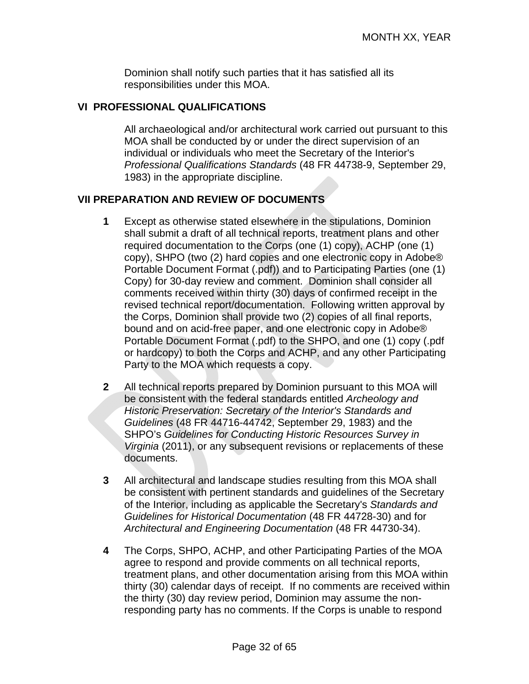Dominion shall notify such parties that it has satisfied all its responsibilities under this MOA.

#### **VI PROFESSIONAL QUALIFICATIONS**

All archaeological and/or architectural work carried out pursuant to this MOA shall be conducted by or under the direct supervision of an individual or individuals who meet the Secretary of the Interior's *Professional Qualifications Standards* (48 FR 44738-9, September 29, 1983) in the appropriate discipline.

#### **VII PREPARATION AND REVIEW OF DOCUMENTS**

- **1** Except as otherwise stated elsewhere in the stipulations, Dominion shall submit a draft of all technical reports, treatment plans and other required documentation to the Corps (one (1) copy), ACHP (one (1) copy), SHPO (two (2) hard copies and one electronic copy in Adobe® Portable Document Format (.pdf)) and to Participating Parties (one (1) Copy) for 30-day review and comment. Dominion shall consider all comments received within thirty (30) days of confirmed receipt in the revised technical report/documentation. Following written approval by the Corps, Dominion shall provide two (2) copies of all final reports, bound and on acid-free paper, and one electronic copy in Adobe® Portable Document Format (.pdf) to the SHPO, and one (1) copy (.pdf or hardcopy) to both the Corps and ACHP, and any other Participating Party to the MOA which requests a copy.
- **2** All technical reports prepared by Dominion pursuant to this MOA will be consistent with the federal standards entitled *Archeology and Historic Preservation: Secretary of the Interior's Standards and Guidelines* (48 FR 44716-44742, September 29, 1983) and the SHPO's *Guidelines for Conducting Historic Resources Survey in Virginia* (2011), or any subsequent revisions or replacements of these documents.
- **3** All architectural and landscape studies resulting from this MOA shall be consistent with pertinent standards and guidelines of the Secretary of the Interior, including as applicable the Secretary's *Standards and Guidelines for Historical Documentation* (48 FR 44728-30) and for *Architectural and Engineering Documentation* (48 FR 44730-34).
- **4** The Corps, SHPO, ACHP, and other Participating Parties of the MOA agree to respond and provide comments on all technical reports, treatment plans, and other documentation arising from this MOA within thirty (30) calendar days of receipt. If no comments are received within the thirty (30) day review period, Dominion may assume the nonresponding party has no comments. If the Corps is unable to respond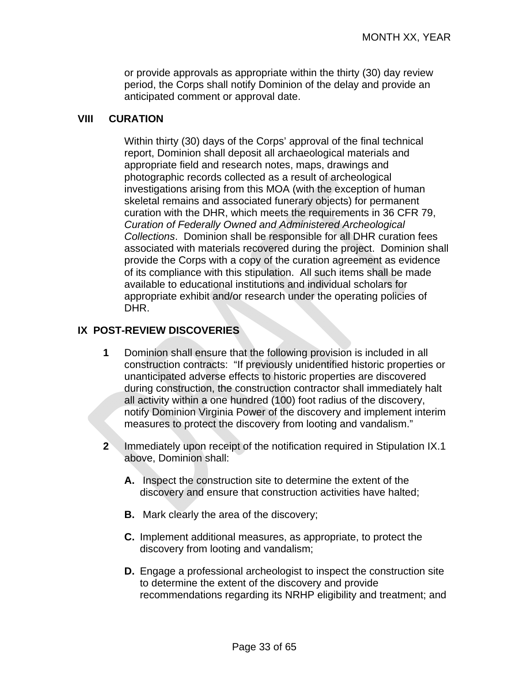or provide approvals as appropriate within the thirty (30) day review period, the Corps shall notify Dominion of the delay and provide an anticipated comment or approval date.

#### **VIII CURATION**

Within thirty (30) days of the Corps' approval of the final technical report, Dominion shall deposit all archaeological materials and appropriate field and research notes, maps, drawings and photographic records collected as a result of archeological investigations arising from this MOA (with the exception of human skeletal remains and associated funerary objects) for permanent curation with the DHR, which meets the requirements in 36 CFR 79, *Curation of Federally Owned and Administered Archeological Collections*. Dominion shall be responsible for all DHR curation fees associated with materials recovered during the project. Dominion shall provide the Corps with a copy of the curation agreement as evidence of its compliance with this stipulation. All such items shall be made available to educational institutions and individual scholars for appropriate exhibit and/or research under the operating policies of DHR.

#### **IX POST-REVIEW DISCOVERIES**

- **1** Dominion shall ensure that the following provision is included in all construction contracts: "If previously unidentified historic properties or unanticipated adverse effects to historic properties are discovered during construction, the construction contractor shall immediately halt all activity within a one hundred (100) foot radius of the discovery, notify Dominion Virginia Power of the discovery and implement interim measures to protect the discovery from looting and vandalism."
- **2** Immediately upon receipt of the notification required in Stipulation IX.1 above, Dominion shall:
	- **A.** Inspect the construction site to determine the extent of the discovery and ensure that construction activities have halted;
	- **B.** Mark clearly the area of the discovery;
	- **C.** Implement additional measures, as appropriate, to protect the discovery from looting and vandalism;
	- **D.** Engage a professional archeologist to inspect the construction site to determine the extent of the discovery and provide recommendations regarding its NRHP eligibility and treatment; and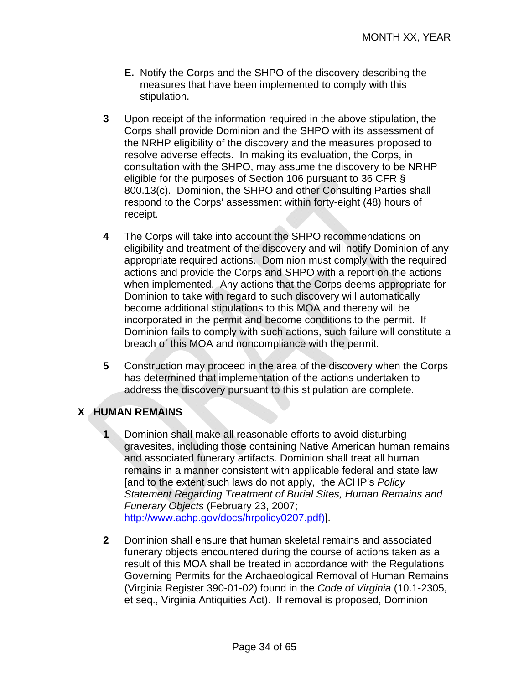- **E.** Notify the Corps and the SHPO of the discovery describing the measures that have been implemented to comply with this stipulation.
- **3** Upon receipt of the information required in the above stipulation, the Corps shall provide Dominion and the SHPO with its assessment of the NRHP eligibility of the discovery and the measures proposed to resolve adverse effects. In making its evaluation, the Corps, in consultation with the SHPO, may assume the discovery to be NRHP eligible for the purposes of Section 106 pursuant to 36 CFR § 800.13(c). Dominion, the SHPO and other Consulting Parties shall respond to the Corps' assessment within forty-eight (48) hours of receipt*.*
- **4** The Corps will take into account the SHPO recommendations on eligibility and treatment of the discovery and will notify Dominion of any appropriate required actions. Dominion must comply with the required actions and provide the Corps and SHPO with a report on the actions when implemented. Any actions that the Corps deems appropriate for Dominion to take with regard to such discovery will automatically become additional stipulations to this MOA and thereby will be incorporated in the permit and become conditions to the permit. If Dominion fails to comply with such actions, such failure will constitute a breach of this MOA and noncompliance with the permit.
- **5** Construction may proceed in the area of the discovery when the Corps has determined that implementation of the actions undertaken to address the discovery pursuant to this stipulation are complete.

#### **X HUMAN REMAINS**

- **1** Dominion shall make all reasonable efforts to avoid disturbing gravesites, including those containing Native American human remains and associated funerary artifacts. Dominion shall treat all human remains in a manner consistent with applicable federal and state law [and to the extent such laws do not apply, the ACHP's *Policy Statement Regarding Treatment of Burial Sites, Human Remains and Funerary Objects* (February 23, 2007; http://www.achp.gov/docs/hrpolicy0207.pdf)].
- **2** Dominion shall ensure that human skeletal remains and associated funerary objects encountered during the course of actions taken as a result of this MOA shall be treated in accordance with the Regulations Governing Permits for the Archaeological Removal of Human Remains (Virginia Register 390-01-02) found in the *Code of Virginia* (10.1-2305, et seq., Virginia Antiquities Act). If removal is proposed, Dominion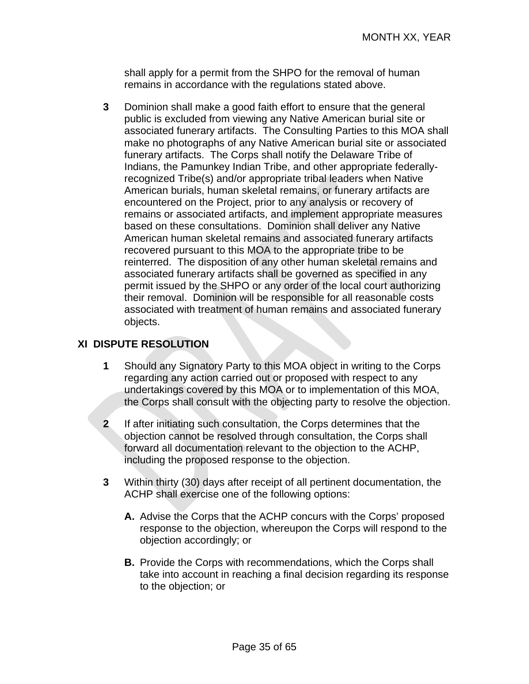shall apply for a permit from the SHPO for the removal of human remains in accordance with the regulations stated above.

**3** Dominion shall make a good faith effort to ensure that the general public is excluded from viewing any Native American burial site or associated funerary artifacts. The Consulting Parties to this MOA shall make no photographs of any Native American burial site or associated funerary artifacts. The Corps shall notify the Delaware Tribe of Indians, the Pamunkey Indian Tribe, and other appropriate federallyrecognized Tribe(s) and/or appropriate tribal leaders when Native American burials, human skeletal remains, or funerary artifacts are encountered on the Project, prior to any analysis or recovery of remains or associated artifacts, and implement appropriate measures based on these consultations. Dominion shall deliver any Native American human skeletal remains and associated funerary artifacts recovered pursuant to this MOA to the appropriate tribe to be reinterred. The disposition of any other human skeletal remains and associated funerary artifacts shall be governed as specified in any permit issued by the SHPO or any order of the local court authorizing their removal. Dominion will be responsible for all reasonable costs associated with treatment of human remains and associated funerary objects.

#### **XI DISPUTE RESOLUTION**

- **1** Should any Signatory Party to this MOA object in writing to the Corps regarding any action carried out or proposed with respect to any undertakings covered by this MOA or to implementation of this MOA, the Corps shall consult with the objecting party to resolve the objection.
- **2** If after initiating such consultation, the Corps determines that the objection cannot be resolved through consultation, the Corps shall forward all documentation relevant to the objection to the ACHP, including the proposed response to the objection.
- **3** Within thirty (30) days after receipt of all pertinent documentation, the ACHP shall exercise one of the following options:
	- **A.** Advise the Corps that the ACHP concurs with the Corps' proposed response to the objection, whereupon the Corps will respond to the objection accordingly; or
	- **B.** Provide the Corps with recommendations, which the Corps shall take into account in reaching a final decision regarding its response to the objection; or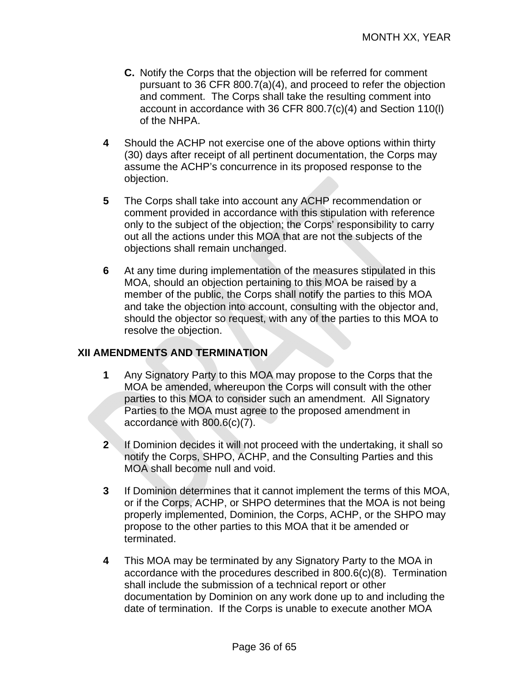- **C.** Notify the Corps that the objection will be referred for comment pursuant to 36 CFR 800.7(a)(4), and proceed to refer the objection and comment. The Corps shall take the resulting comment into account in accordance with 36 CFR 800.7(c)(4) and Section 110(l) of the NHPA.
- **4** Should the ACHP not exercise one of the above options within thirty (30) days after receipt of all pertinent documentation, the Corps may assume the ACHP's concurrence in its proposed response to the objection.
- **5** The Corps shall take into account any ACHP recommendation or comment provided in accordance with this stipulation with reference only to the subject of the objection; the Corps' responsibility to carry out all the actions under this MOA that are not the subjects of the objections shall remain unchanged.
- **6** At any time during implementation of the measures stipulated in this MOA, should an objection pertaining to this MOA be raised by a member of the public, the Corps shall notify the parties to this MOA and take the objection into account, consulting with the objector and, should the objector so request, with any of the parties to this MOA to resolve the objection.

### **XII AMENDMENTS AND TERMINATION**

- **1** Any Signatory Party to this MOA may propose to the Corps that the MOA be amended, whereupon the Corps will consult with the other parties to this MOA to consider such an amendment. All Signatory Parties to the MOA must agree to the proposed amendment in accordance with 800.6(c)(7).
- **2** If Dominion decides it will not proceed with the undertaking, it shall so notify the Corps, SHPO, ACHP, and the Consulting Parties and this MOA shall become null and void.
- **3** If Dominion determines that it cannot implement the terms of this MOA, or if the Corps, ACHP, or SHPO determines that the MOA is not being properly implemented, Dominion, the Corps, ACHP, or the SHPO may propose to the other parties to this MOA that it be amended or terminated.
- **4** This MOA may be terminated by any Signatory Party to the MOA in accordance with the procedures described in 800.6(c)(8). Termination shall include the submission of a technical report or other documentation by Dominion on any work done up to and including the date of termination. If the Corps is unable to execute another MOA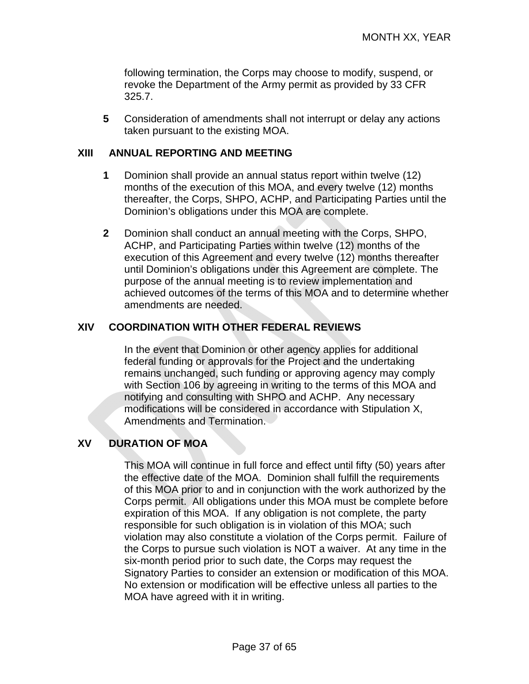following termination, the Corps may choose to modify, suspend, or revoke the Department of the Army permit as provided by 33 CFR 325.7.

**5** Consideration of amendments shall not interrupt or delay any actions taken pursuant to the existing MOA.

#### **XIII ANNUAL REPORTING AND MEETING**

- **1** Dominion shall provide an annual status report within twelve (12) months of the execution of this MOA, and every twelve (12) months thereafter, the Corps, SHPO, ACHP, and Participating Parties until the Dominion's obligations under this MOA are complete.
- **2** Dominion shall conduct an annual meeting with the Corps, SHPO, ACHP, and Participating Parties within twelve (12) months of the execution of this Agreement and every twelve (12) months thereafter until Dominion's obligations under this Agreement are complete. The purpose of the annual meeting is to review implementation and achieved outcomes of the terms of this MOA and to determine whether amendments are needed.

#### **XIV COORDINATION WITH OTHER FEDERAL REVIEWS**

In the event that Dominion or other agency applies for additional federal funding or approvals for the Project and the undertaking remains unchanged, such funding or approving agency may comply with Section 106 by agreeing in writing to the terms of this MOA and notifying and consulting with SHPO and ACHP. Any necessary modifications will be considered in accordance with Stipulation X, Amendments and Termination.

#### **XV DURATION OF MOA**

This MOA will continue in full force and effect until fifty (50) years after the effective date of the MOA. Dominion shall fulfill the requirements of this MOA prior to and in conjunction with the work authorized by the Corps permit. All obligations under this MOA must be complete before expiration of this MOA. If any obligation is not complete, the party responsible for such obligation is in violation of this MOA; such violation may also constitute a violation of the Corps permit. Failure of the Corps to pursue such violation is NOT a waiver. At any time in the six-month period prior to such date, the Corps may request the Signatory Parties to consider an extension or modification of this MOA. No extension or modification will be effective unless all parties to the MOA have agreed with it in writing.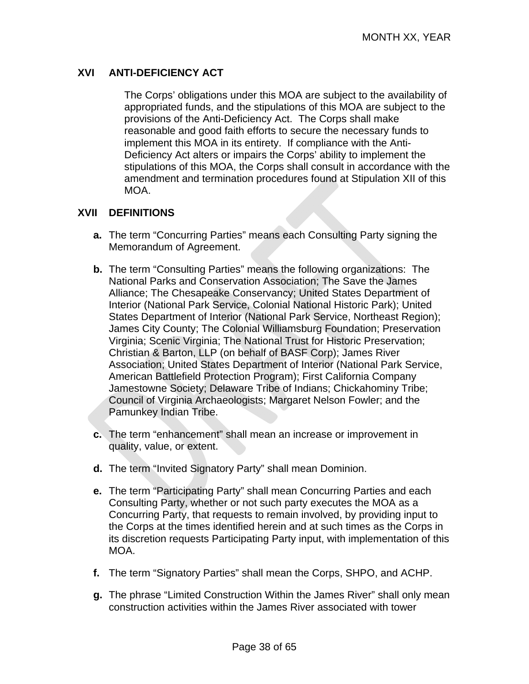### **XVI ANTI-DEFICIENCY ACT**

The Corps' obligations under this MOA are subject to the availability of appropriated funds, and the stipulations of this MOA are subject to the provisions of the Anti-Deficiency Act. The Corps shall make reasonable and good faith efforts to secure the necessary funds to implement this MOA in its entirety. If compliance with the Anti-Deficiency Act alters or impairs the Corps' ability to implement the stipulations of this MOA, the Corps shall consult in accordance with the amendment and termination procedures found at Stipulation XII of this MOA.

#### **XVII DEFINITIONS**

- **a.** The term "Concurring Parties" means each Consulting Party signing the Memorandum of Agreement.
- **b.** The term "Consulting Parties" means the following organizations: The National Parks and Conservation Association; The Save the James Alliance; The Chesapeake Conservancy; United States Department of Interior (National Park Service, Colonial National Historic Park); United States Department of Interior (National Park Service, Northeast Region); James City County; The Colonial Williamsburg Foundation; Preservation Virginia; Scenic Virginia; The National Trust for Historic Preservation; Christian & Barton, LLP (on behalf of BASF Corp); James River Association; United States Department of Interior (National Park Service, American Battlefield Protection Program); First California Company Jamestowne Society; Delaware Tribe of Indians; Chickahominy Tribe; Council of Virginia Archaeologists; Margaret Nelson Fowler; and the Pamunkey Indian Tribe.
- **c.** The term "enhancement" shall mean an increase or improvement in quality, value, or extent.
- **d.** The term "Invited Signatory Party" shall mean Dominion.
- **e.** The term "Participating Party" shall mean Concurring Parties and each Consulting Party, whether or not such party executes the MOA as a Concurring Party, that requests to remain involved, by providing input to the Corps at the times identified herein and at such times as the Corps in its discretion requests Participating Party input, with implementation of this MOA.
- **f.** The term "Signatory Parties" shall mean the Corps, SHPO, and ACHP.
- **g.** The phrase "Limited Construction Within the James River" shall only mean construction activities within the James River associated with tower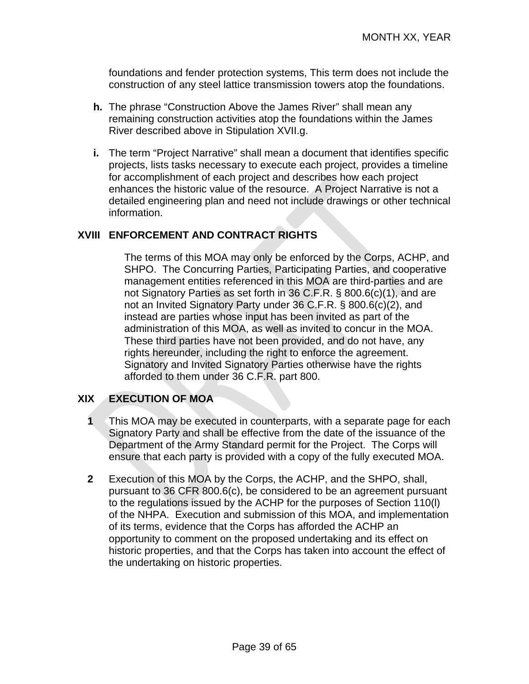foundations and fender protection systems, This term does not include the construction of any steel lattice transmission towers atop the foundations.

- **h.** The phrase "Construction Above the James River" shall mean any remaining construction activities atop the foundations within the James River described above in Stipulation XVII.g.
- **i.** The term "Project Narrative" shall mean a document that identifies specific projects, lists tasks necessary to execute each project, provides a timeline for accomplishment of each project and describes how each project enhances the historic value of the resource. A Project Narrative is not a detailed engineering plan and need not include drawings or other technical information.

#### **XVIII ENFORCEMENT AND CONTRACT RIGHTS**

The terms of this MOA may only be enforced by the Corps, ACHP, and SHPO. The Concurring Parties, Participating Parties, and cooperative management entities referenced in this MOA are third-parties and are not Signatory Parties as set forth in 36 C.F.R. § 800.6(c)(1), and are not an Invited Signatory Party under 36 C.F.R. § 800.6(c)(2), and instead are parties whose input has been invited as part of the administration of this MOA, as well as invited to concur in the MOA. These third parties have not been provided, and do not have, any rights hereunder, including the right to enforce the agreement. Signatory and Invited Signatory Parties otherwise have the rights afforded to them under 36 C.F.R. part 800.

#### **XIX EXECUTION OF MOA**

- **1** This MOA may be executed in counterparts, with a separate page for each Signatory Party and shall be effective from the date of the issuance of the Department of the Army Standard permit for the Project. The Corps will ensure that each party is provided with a copy of the fully executed MOA.
- **2** Execution of this MOA by the Corps, the ACHP, and the SHPO, shall, pursuant to 36 CFR 800.6(c), be considered to be an agreement pursuant to the regulations issued by the ACHP for the purposes of Section 110(l) of the NHPA. Execution and submission of this MOA, and implementation of its terms, evidence that the Corps has afforded the ACHP an opportunity to comment on the proposed undertaking and its effect on historic properties, and that the Corps has taken into account the effect of the undertaking on historic properties.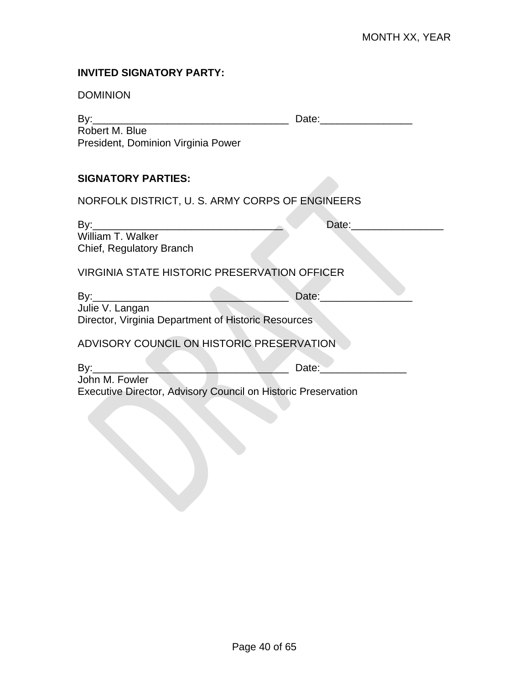#### **INVITED SIGNATORY PARTY:**

| <b>DOMINION</b>                                                                                                                                                                                              |                    |
|--------------------------------------------------------------------------------------------------------------------------------------------------------------------------------------------------------------|--------------------|
| Robert M. Blue<br>President, Dominion Virginia Power                                                                                                                                                         |                    |
| <b>SIGNATORY PARTIES:</b>                                                                                                                                                                                    |                    |
| NORFOLK DISTRICT, U. S. ARMY CORPS OF ENGINEERS                                                                                                                                                              |                    |
| Chief, Regulatory Branch                                                                                                                                                                                     | Date: <u>Date:</u> |
| <b>VIRGINIA STATE HISTORIC PRESERVATION OFFICER</b>                                                                                                                                                          |                    |
| Julie V. Langan<br>Director, Virginia Department of Historic Resources                                                                                                                                       | Date:              |
| ADVISORY COUNCIL ON HISTORIC PRESERVATION                                                                                                                                                                    |                    |
| By:________<br>$\begin{array}{c c c c c c} \hline \textbf{p} & \textbf{p} & \textbf{p} & \textbf{p} \\\hline \end{array}$<br>John M. Fowler<br>Executive Director, Advisory Council on Historic Preservation | Date: <u>Date:</u> |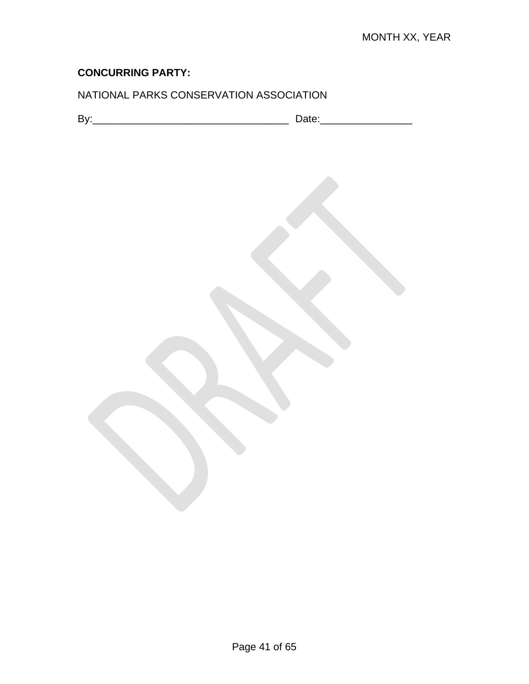# NATIONAL PARKS CONSERVATION ASSOCIATION

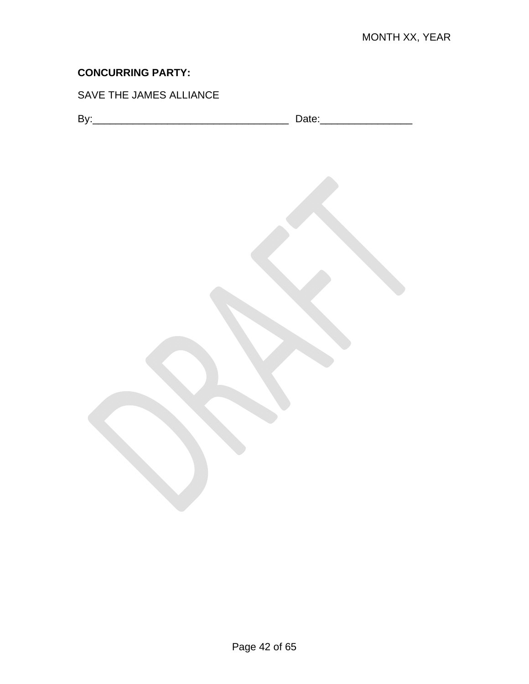# SAVE THE JAMES ALLIANCE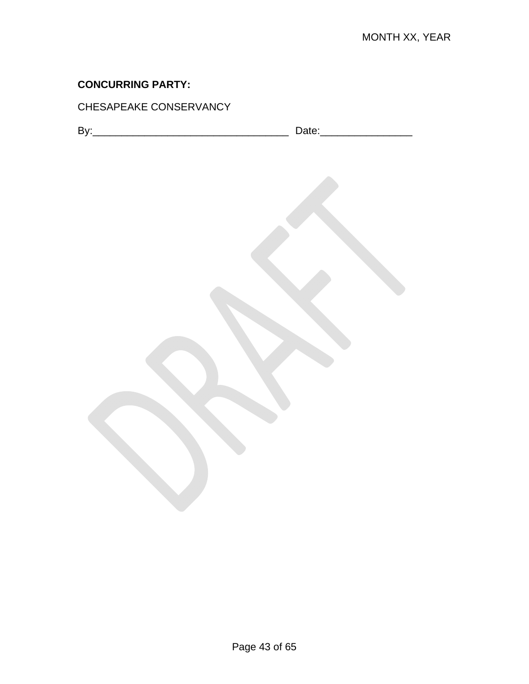### CHESAPEAKE CONSERVANCY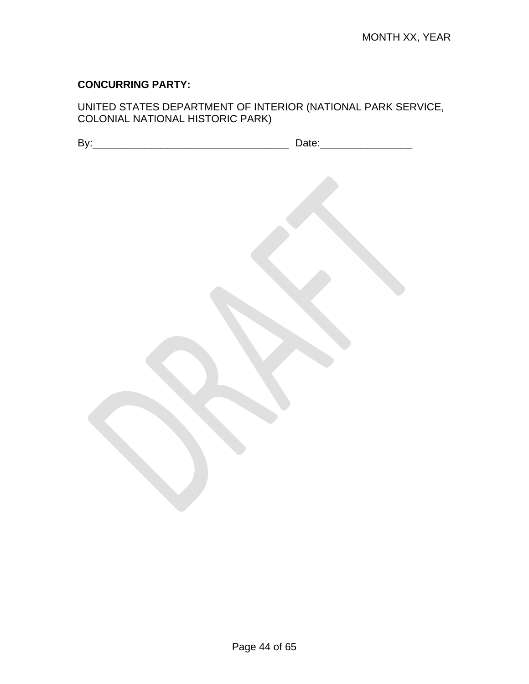#### UNITED STATES DEPARTMENT OF INTERIOR (NATIONAL PARK SERVICE, COLONIAL NATIONAL HISTORIC PARK)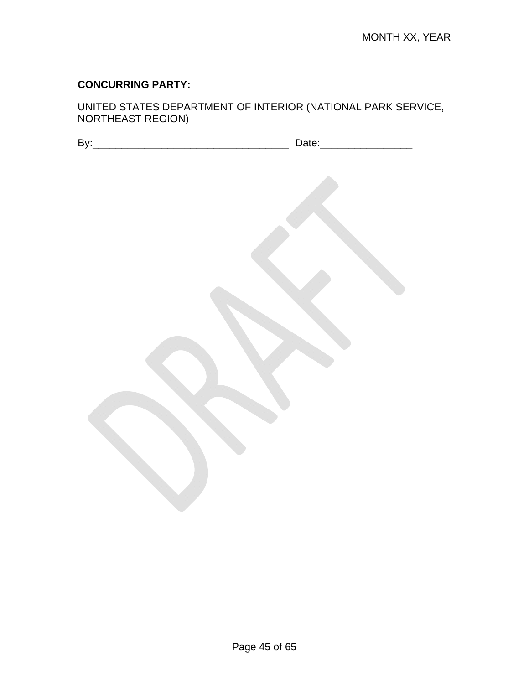UNITED STATES DEPARTMENT OF INTERIOR (NATIONAL PARK SERVICE, NORTHEAST REGION)

| -<br>. .<br>- |  |
|---------------|--|
|               |  |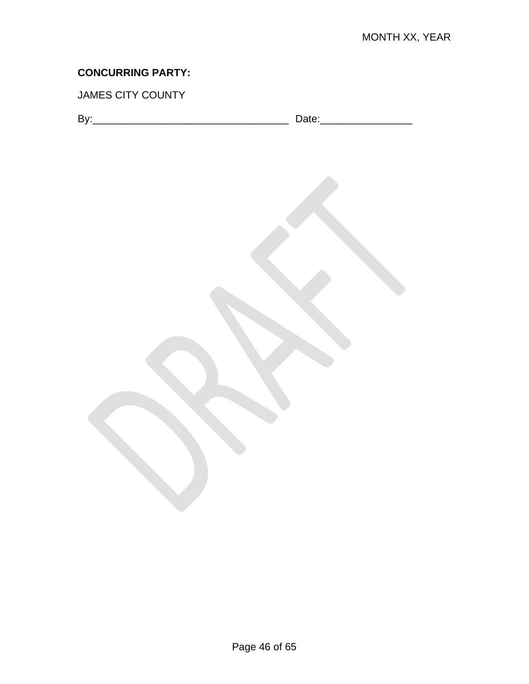# JAMES CITY COUNTY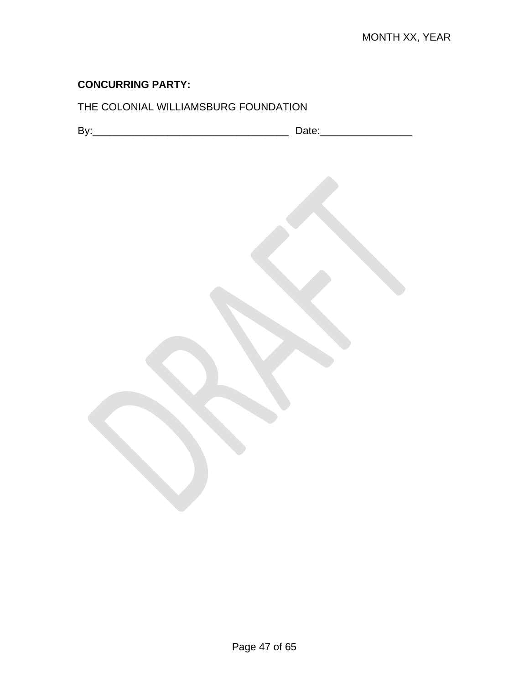# THE COLONIAL WILLIAMSBURG FOUNDATION

| $\sim$<br><br>. .<br>-- | -- |
|-------------------------|----|
|                         |    |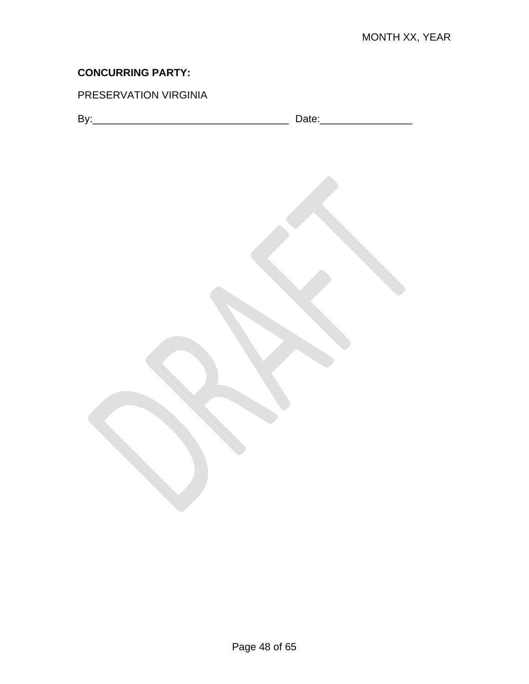# PRESERVATION VIRGINIA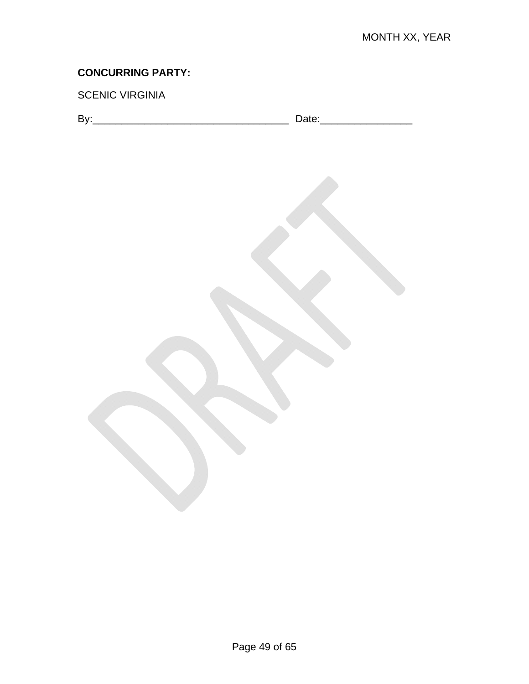### SCENIC VIRGINIA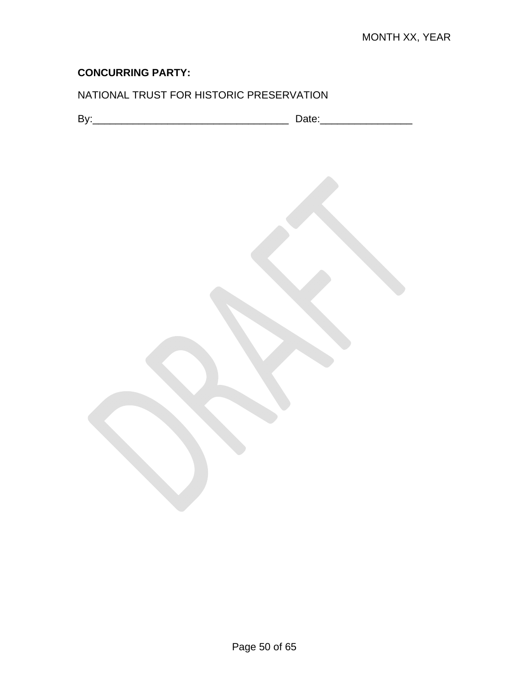# NATIONAL TRUST FOR HISTORIC PRESERVATION

| -<br>. .<br>-- |  |
|----------------|--|
|----------------|--|

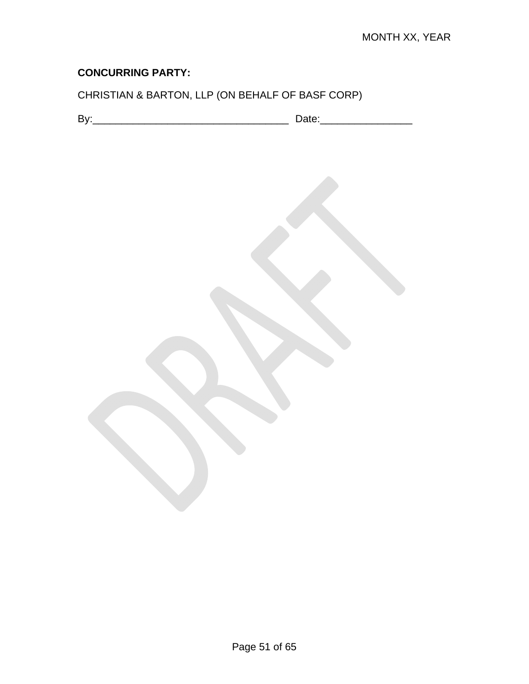# CHRISTIAN & BARTON, LLP (ON BEHALF OF BASF CORP)

| -<br>. .<br>-- |  |
|----------------|--|
|----------------|--|

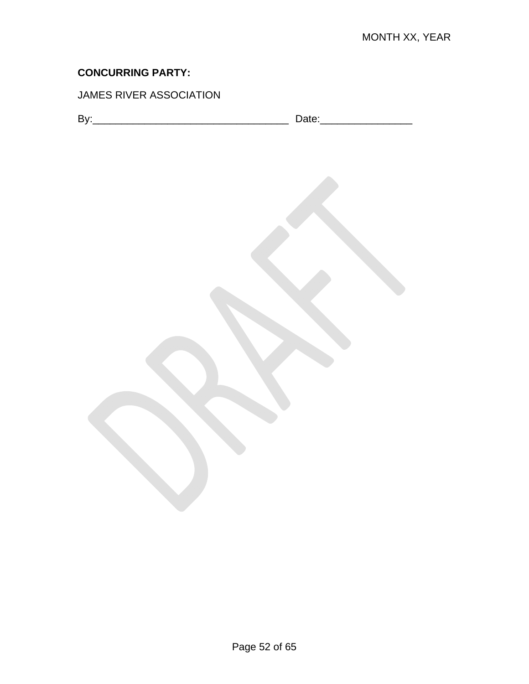# JAMES RIVER ASSOCIATION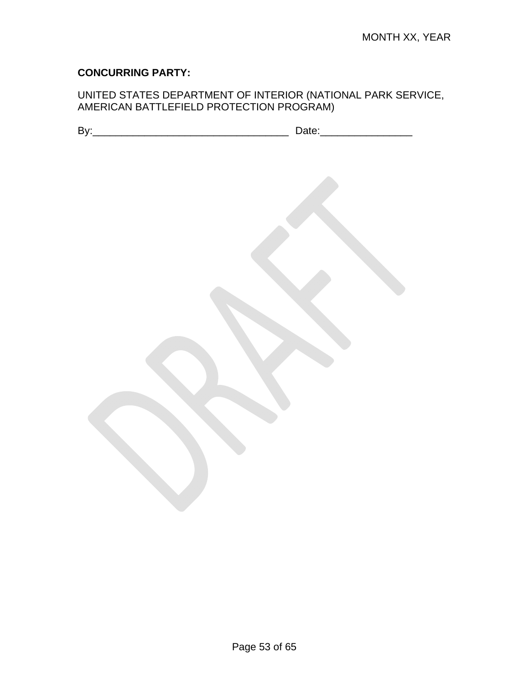#### UNITED STATES DEPARTMENT OF INTERIOR (NATIONAL PARK SERVICE, AMERICAN BATTLEFIELD PROTECTION PROGRAM)

| By: | Date:__________ |
|-----|-----------------|
|     |                 |
|     |                 |
|     |                 |
|     |                 |
|     |                 |
|     |                 |
|     |                 |
|     |                 |
|     |                 |
|     |                 |
|     |                 |
|     |                 |
|     |                 |
|     |                 |
|     |                 |
|     |                 |
|     |                 |
|     |                 |
|     |                 |
|     |                 |
|     |                 |
|     |                 |
|     |                 |
|     |                 |
|     |                 |
|     |                 |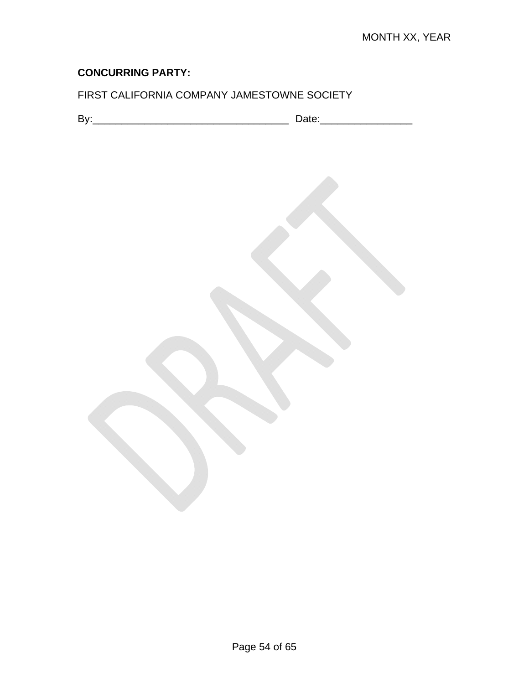# FIRST CALIFORNIA COMPANY JAMESTOWNE SOCIETY

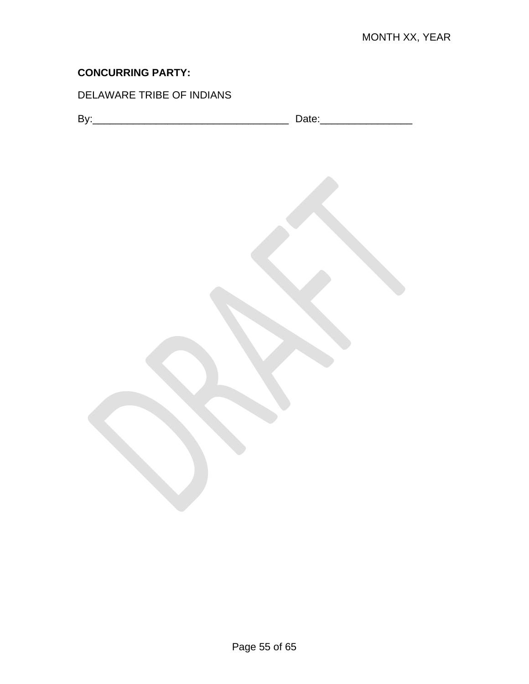# DELAWARE TRIBE OF INDIANS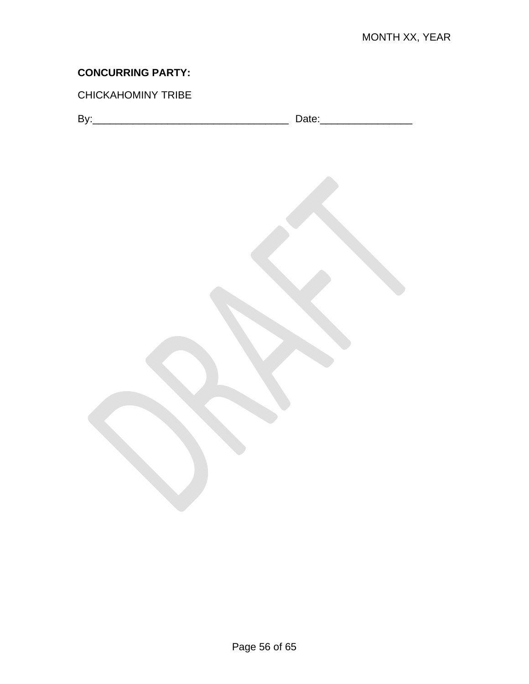### CHICKAHOMINY TRIBE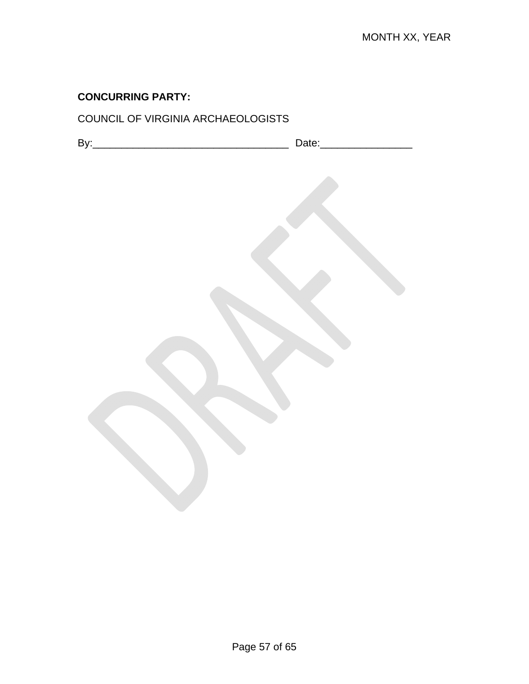# COUNCIL OF VIRGINIA ARCHAEOLOGISTS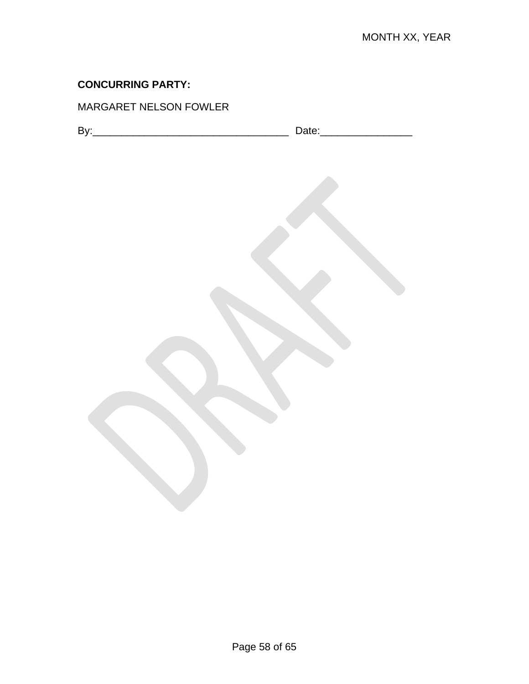### MARGARET NELSON FOWLER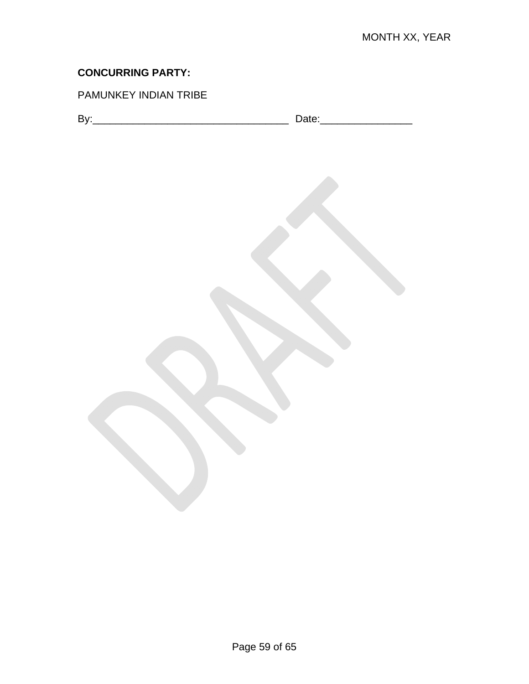# PAMUNKEY INDIAN TRIBE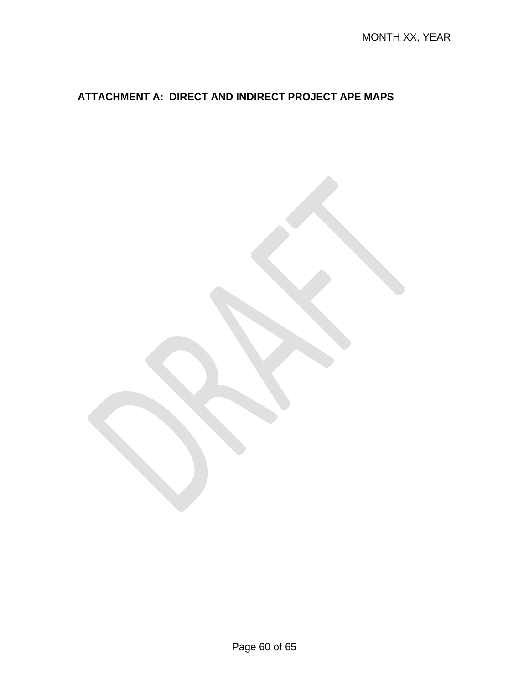# **ATTACHMENT A: DIRECT AND INDIRECT PROJECT APE MAPS**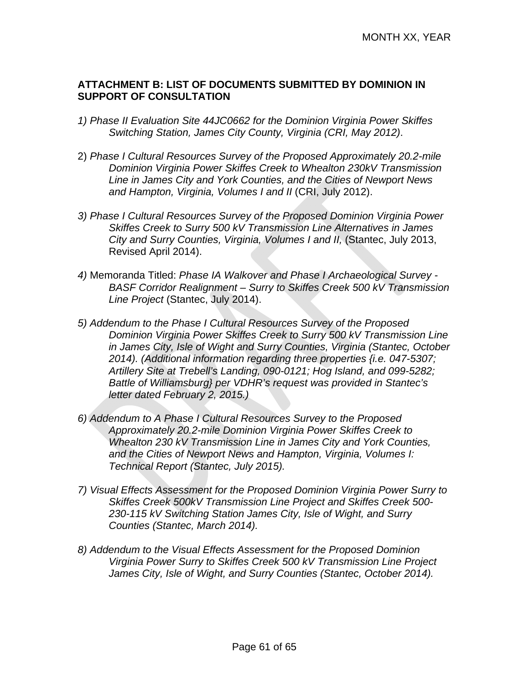#### **ATTACHMENT B: LIST OF DOCUMENTS SUBMITTED BY DOMINION IN SUPPORT OF CONSULTATION**

- *1) Phase II Evaluation Site 44JC0662 for the Dominion Virginia Power Skiffes Switching Station, James City County, Virginia (CRI, May 2012)*.
- 2) *Phase I Cultural Resources Survey of the Proposed Approximately 20.2-mile Dominion Virginia Power Skiffes Creek to Whealton 230kV Transmission Line in James City and York Counties, and the Cities of Newport News and Hampton, Virginia, Volumes I and II* (CRI, July 2012).
- *3) Phase I Cultural Resources Survey of the Proposed Dominion Virginia Power Skiffes Creek to Surry 500 kV Transmission Line Alternatives in James City and Surry Counties, Virginia, Volumes I and II,* (Stantec, July 2013, Revised April 2014).
- *4)* Memoranda Titled: *Phase IA Walkover and Phase I Archaeological Survey BASF Corridor Realignment – Surry to Skiffes Creek 500 kV Transmission Line Project* (Stantec, July 2014).
- *5) Addendum to the Phase I Cultural Resources Survey of the Proposed Dominion Virginia Power Skiffes Creek to Surry 500 kV Transmission Line in James City, Isle of Wight and Surry Counties, Virginia (Stantec, October 2014). (Additional information regarding three properties {i.e. 047-5307; Artillery Site at Trebell's Landing, 090-0121; Hog Island, and 099-5282; Battle of Williamsburg} per VDHR's request was provided in Stantec's letter dated February 2, 2015.)*
- *6) Addendum to A Phase I Cultural Resources Survey to the Proposed Approximately 20.2-mile Dominion Virginia Power Skiffes Creek to Whealton 230 kV Transmission Line in James City and York Counties, and the Cities of Newport News and Hampton, Virginia, Volumes I: Technical Report (Stantec, July 2015).*
- *7) Visual Effects Assessment for the Proposed Dominion Virginia Power Surry to Skiffes Creek 500kV Transmission Line Project and Skiffes Creek 500- 230-115 kV Switching Station James City, Isle of Wight, and Surry Counties (Stantec, March 2014).*
- *8) Addendum to the Visual Effects Assessment for the Proposed Dominion Virginia Power Surry to Skiffes Creek 500 kV Transmission Line Project James City, Isle of Wight, and Surry Counties (Stantec, October 2014).*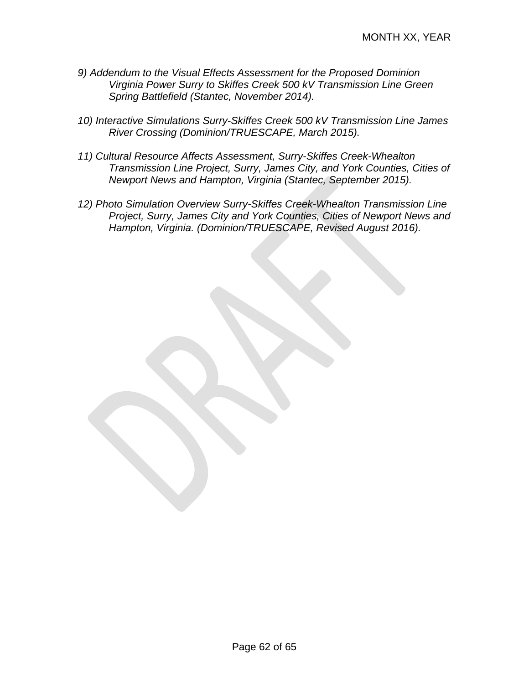- *9) Addendum to the Visual Effects Assessment for the Proposed Dominion Virginia Power Surry to Skiffes Creek 500 kV Transmission Line Green Spring Battlefield (Stantec, November 2014).*
- *10) Interactive Simulations Surry-Skiffes Creek 500 kV Transmission Line James River Crossing (Dominion/TRUESCAPE, March 2015).*
- *11) Cultural Resource Affects Assessment, Surry-Skiffes Creek-Whealton Transmission Line Project, Surry, James City, and York Counties, Cities of Newport News and Hampton, Virginia (Stantec, September 2015).*
- *12) Photo Simulation Overview Surry-Skiffes Creek-Whealton Transmission Line Project, Surry, James City and York Counties, Cities of Newport News and Hampton, Virginia. (Dominion/TRUESCAPE, Revised August 2016).*

Page 62 of 65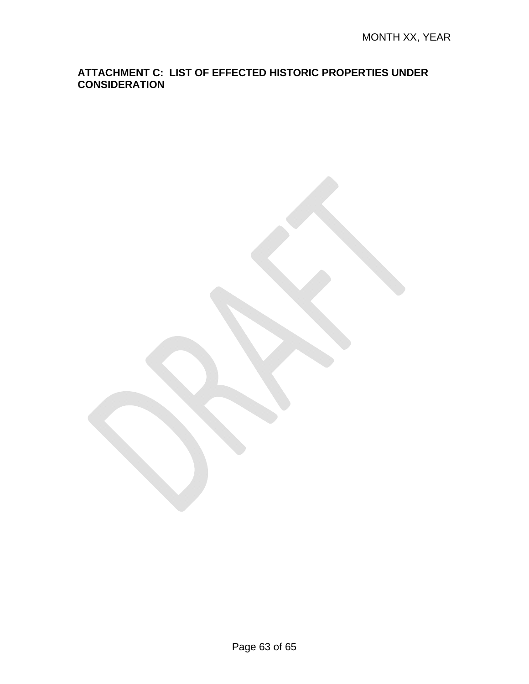#### **ATTACHMENT C: LIST OF EFFECTED HISTORIC PROPERTIES UNDER CONSIDERATION**

Page 63 of 65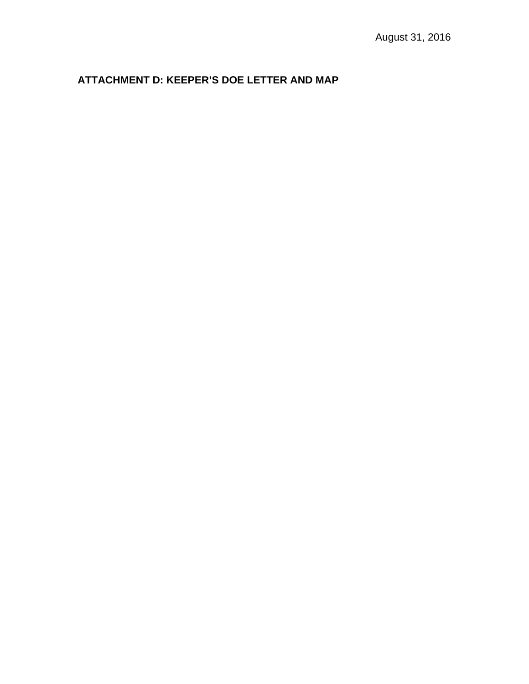# **ATTACHMENT D: KEEPER'S DOE LETTER AND MAP**